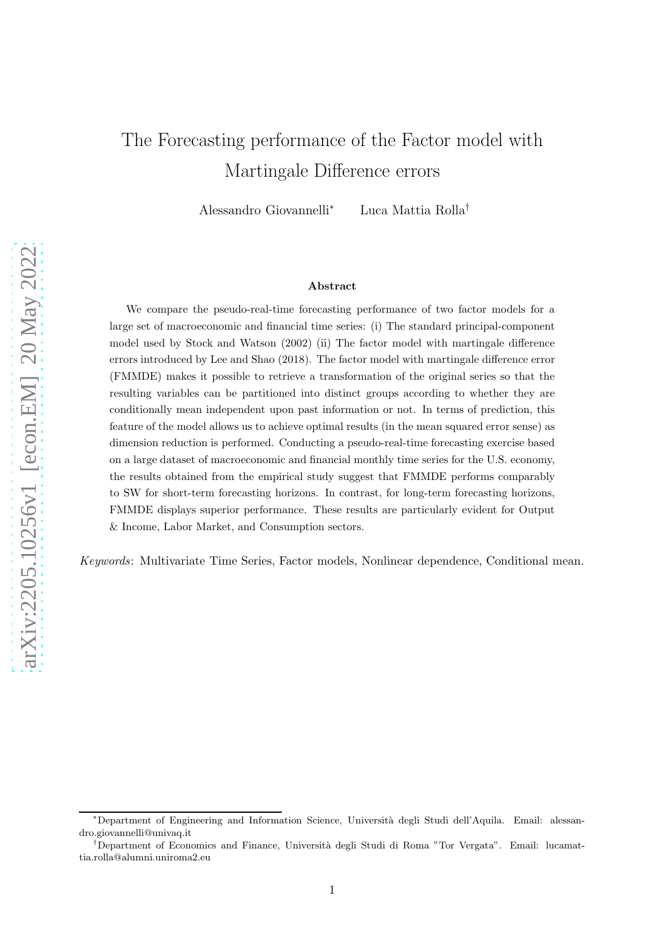# The Forecasting performance of the Factor model with Martingale Difference errors

Alessandro Giovannelli<sup>∗</sup> Luca Mattia Rolla†

#### Abstract

We compare the pseudo-real-time forecasting performance of two factor models for a large set of macroeconomic and financial time series: (i) The standard principal-component model used by Stock and Watson (2002) (ii) The factor model with martingale difference errors introduced by Lee and Shao (2018). The factor model with martingale difference error (FMMDE) makes it possible to retrieve a transformation of the original series so that the resulting variables can be partitioned into distinct groups according to whether they are conditionally mean independent upon past information or not. In terms of prediction, this feature of the model allows us to achieve optimal results (in the mean squared error sense) as dimension reduction is performed. Conducting a pseudo-real-time forecasting exercise based on a large dataset of macroeconomic and financial monthly time series for the U.S. economy, the results obtained from the empirical study suggest that FMMDE performs comparably to SW for short-term forecasting horizons. In contrast, for long-term forecasting horizons, FMMDE displays superior performance. These results are particularly evident for Output & Income, Labor Market, and Consumption sectors.

Keywords: Multivariate Time Series, Factor models, Nonlinear dependence, Conditional mean.

<sup>∗</sup>Department of Engineering and Information Science, Universit`a degli Studi dell'Aquila. Email: alessandro.giovannelli@univaq.it

<sup>†</sup>Department of Economics and Finance, Universit`a degli Studi di Roma "Tor Vergata". Email: lucamattia.rolla@alumni.uniroma2.eu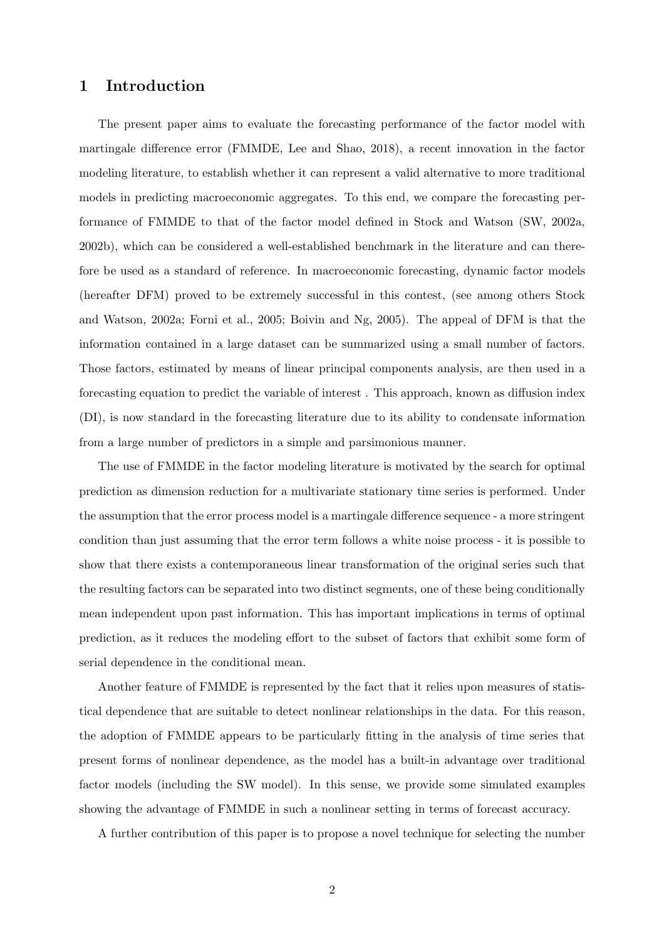## 1 Introduction

The present paper aims to evaluate the forecasting performance of the factor model with martingale difference error (FMMDE, Lee and Shao, 2018), a recent innovation in the factor modeling literature, to establish whether it can represent a valid alternative to more traditional models in predicting macroeconomic aggregates. To this end, we compare the forecasting performance of FMMDE to that of the factor model defined in Stock and Watson (SW, 2002a, 2002b), which can be considered a well-established benchmark in the literature and can therefore be used as a standard of reference. In macroeconomic forecasting, dynamic factor models (hereafter DFM) proved to be extremely successful in this contest, (see among others Stock and Watson, 2002a; Forni et al., 2005; Boivin and Ng, 2005). The appeal of DFM is that the information contained in a large dataset can be summarized using a small number of factors. Those factors, estimated by means of linear principal components analysis, are then used in a forecasting equation to predict the variable of interest . This approach, known as diffusion index (DI), is now standard in the forecasting literature due to its ability to condensate information from a large number of predictors in a simple and parsimonious manner.

The use of FMMDE in the factor modeling literature is motivated by the search for optimal prediction as dimension reduction for a multivariate stationary time series is performed. Under the assumption that the error process model is a martingale difference sequence - a more stringent condition than just assuming that the error term follows a white noise process - it is possible to show that there exists a contemporaneous linear transformation of the original series such that the resulting factors can be separated into two distinct segments, one of these being conditionally mean independent upon past information. This has important implications in terms of optimal prediction, as it reduces the modeling effort to the subset of factors that exhibit some form of serial dependence in the conditional mean.

Another feature of FMMDE is represented by the fact that it relies upon measures of statistical dependence that are suitable to detect nonlinear relationships in the data. For this reason, the adoption of FMMDE appears to be particularly fitting in the analysis of time series that present forms of nonlinear dependence, as the model has a built-in advantage over traditional factor models (including the SW model). In this sense, we provide some simulated examples showing the advantage of FMMDE in such a nonlinear setting in terms of forecast accuracy.

A further contribution of this paper is to propose a novel technique for selecting the number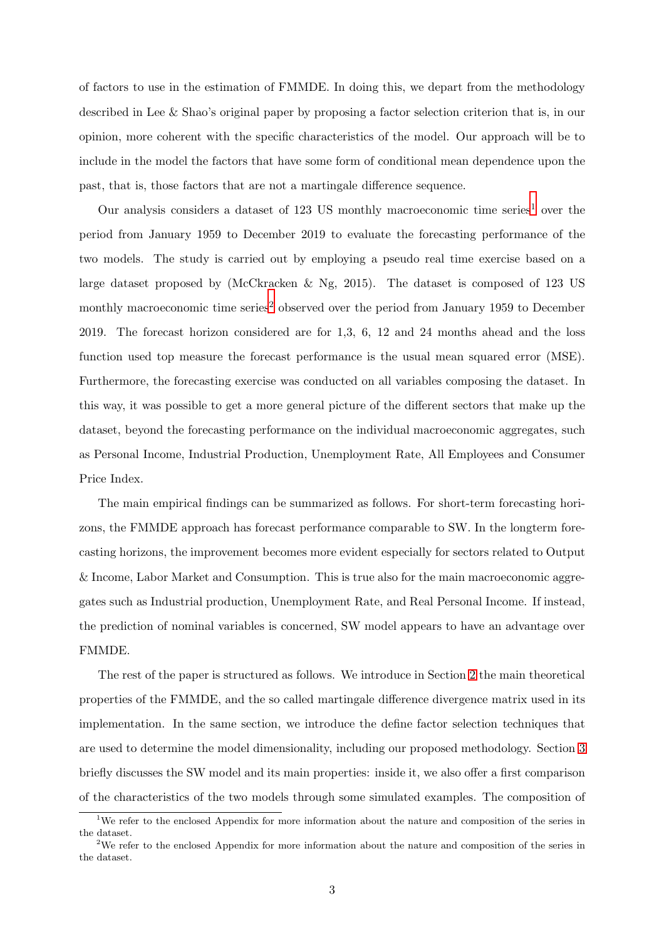of factors to use in the estimation of FMMDE. In doing this, we depart from the methodology described in Lee & Shao's original paper by proposing a factor selection criterion that is, in our opinion, more coherent with the specific characteristics of the model. Our approach will be to include in the model the factors that have some form of conditional mean dependence upon the past, that is, those factors that are not a martingale difference sequence.

Our analysis considers a dataset of [1](#page-2-0)23 US monthly macroeconomic time series<sup>1</sup> over the period from January 1959 to December 2019 to evaluate the forecasting performance of the two models. The study is carried out by employing a pseudo real time exercise based on a large dataset proposed by (McCkracken & Ng, 2015). The dataset is composed of 123 US monthly macroeconomic time series<sup>[2](#page-2-1)</sup> observed over the period from January 1959 to December 2019. The forecast horizon considered are for 1,3, 6, 12 and 24 months ahead and the loss function used top measure the forecast performance is the usual mean squared error (MSE). Furthermore, the forecasting exercise was conducted on all variables composing the dataset. In this way, it was possible to get a more general picture of the different sectors that make up the dataset, beyond the forecasting performance on the individual macroeconomic aggregates, such as Personal Income, Industrial Production, Unemployment Rate, All Employees and Consumer Price Index.

The main empirical findings can be summarized as follows. For short-term forecasting horizons, the FMMDE approach has forecast performance comparable to SW. In the longterm forecasting horizons, the improvement becomes more evident especially for sectors related to Output & Income, Labor Market and Consumption. This is true also for the main macroeconomic aggregates such as Industrial production, Unemployment Rate, and Real Personal Income. If instead, the prediction of nominal variables is concerned, SW model appears to have an advantage over FMMDE.

The rest of the paper is structured as follows. We introduce in Section [2](#page-3-0) the main theoretical properties of the FMMDE, and the so called martingale difference divergence matrix used in its implementation. In the same section, we introduce the define factor selection techniques that are used to determine the model dimensionality, including our proposed methodology. Section [3](#page-8-0) briefly discusses the SW model and its main properties: inside it, we also offer a first comparison of the characteristics of the two models through some simulated examples. The composition of

<sup>&</sup>lt;sup>1</sup>We refer to the enclosed Appendix for more information about the nature and composition of the series in the dataset.

<span id="page-2-1"></span><span id="page-2-0"></span><sup>&</sup>lt;sup>2</sup>We refer to the enclosed Appendix for more information about the nature and composition of the series in the dataset.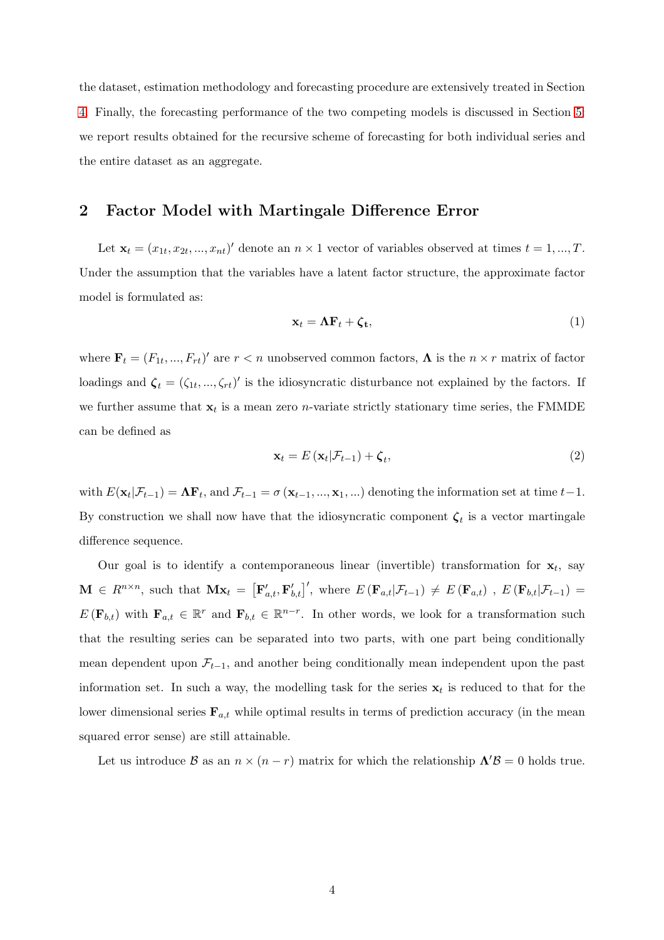the dataset, estimation methodology and forecasting procedure are extensively treated in Section [4.](#page-11-0) Finally, the forecasting performance of the two competing models is discussed in Section [5:](#page-13-0) we report results obtained for the recursive scheme of forecasting for both individual series and the entire dataset as an aggregate.

### <span id="page-3-0"></span>2 Factor Model with Martingale Difference Error

Let  $\mathbf{x}_t = (x_{1t}, x_{2t}, ..., x_{nt})'$  denote an  $n \times 1$  vector of variables observed at times  $t = 1, ..., T$ . Under the assumption that the variables have a latent factor structure, the approximate factor model is formulated as:

$$
\mathbf{x}_t = \mathbf{\Lambda} \mathbf{F}_t + \boldsymbol{\zeta}_t, \tag{1}
$$

where  $\mathbf{F}_t = (F_{1t},...,F_{rt})'$  are  $r < n$  unobserved common factors,  $\mathbf{\Lambda}$  is the  $n \times r$  matrix of factor loadings and  $\zeta_t = (\zeta_{1t}, ..., \zeta_{rt})'$  is the idiosyncratic disturbance not explained by the factors. If we further assume that  $\mathbf{x}_t$  is a mean zero *n*-variate strictly stationary time series, the FMMDE can be defined as

$$
\mathbf{x}_{t} = E\left(\mathbf{x}_{t}|\mathcal{F}_{t-1}\right) + \boldsymbol{\zeta}_{t},\tag{2}
$$

with  $E(\mathbf{x}_t|\mathcal{F}_{t-1}) = \mathbf{\Lambda} \mathbf{F}_t$ , and  $\mathcal{F}_{t-1} = \sigma(\mathbf{x}_{t-1},...,\mathbf{x}_1,...)$  denoting the information set at time  $t-1$ . By construction we shall now have that the idiosyncratic component  $\zeta_t$  is a vector martingale difference sequence.

Our goal is to identify a contemporaneous linear (invertible) transformation for  $x_t$ , say  $\mathbf{M} \in R^{n \times n}$ , such that  $\mathbf{Mx}_t = [\mathbf{F}_{a,t}', \mathbf{F}_{b,t}']'$ , where  $E(\mathbf{F}_{a,t} | \mathcal{F}_{t-1}) \neq E(\mathbf{F}_{a,t})$ ,  $E(\mathbf{F}_{b,t} | \mathcal{F}_{t-1}) =$  $E(\mathbf{F}_{b,t})$  with  $\mathbf{F}_{a,t} \in \mathbb{R}^r$  and  $\mathbf{F}_{b,t} \in \mathbb{R}^{n-r}$ . In other words, we look for a transformation such that the resulting series can be separated into two parts, with one part being conditionally mean dependent upon  $\mathcal{F}_{t-1}$ , and another being conditionally mean independent upon the past information set. In such a way, the modelling task for the series  $x_t$  is reduced to that for the lower dimensional series  $\mathbf{F}_{a,t}$  while optimal results in terms of prediction accuracy (in the mean squared error sense) are still attainable.

Let us introduce B as an  $n \times (n-r)$  matrix for which the relationship  $\Lambda' B = 0$  holds true.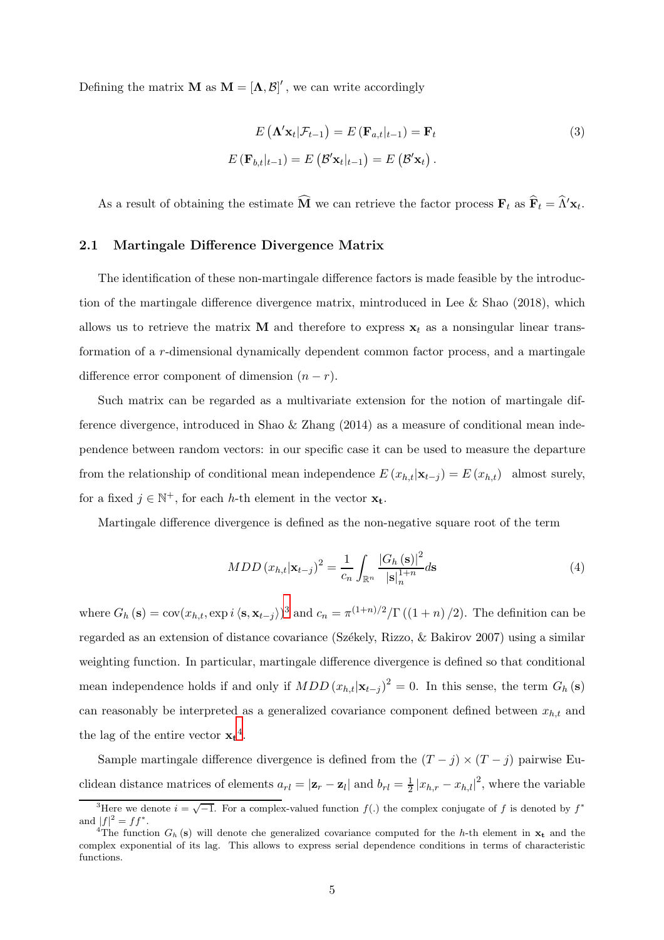Defining the matrix **M** as  $M = [\Lambda, \mathcal{B}]'$ , we can write accordingly

$$
E\left(\mathbf{\Lambda}'\mathbf{x}_{t}|\mathcal{F}_{t-1}\right) = E\left(\mathbf{F}_{a,t}|_{t-1}\right) = \mathbf{F}_{t}
$$
\n
$$
E\left(\mathbf{F}_{b,t}|_{t-1}\right) = E\left(\mathcal{B}'\mathbf{x}_{t}|_{t-1}\right) = E\left(\mathcal{B}'\mathbf{x}_{t}\right).
$$
\n(3)

As a result of obtaining the estimate  $\widehat{M}$  we can retrieve the factor process  $\mathbf{F}_t$  as  $\widehat{\mathbf{F}}_t = \widehat{\Lambda}' \mathbf{x}_t$ .

#### 2.1 Martingale Difference Divergence Matrix

The identification of these non-martingale difference factors is made feasible by the introduction of the martingale difference divergence matrix, mintroduced in Lee & Shao (2018), which allows us to retrieve the matrix **M** and therefore to express  $x_t$  as a nonsingular linear transformation of a r-dimensional dynamically dependent common factor process, and a martingale difference error component of dimension  $(n - r)$ .

Such matrix can be regarded as a multivariate extension for the notion of martingale difference divergence, introduced in Shao & Zhang  $(2014)$  as a measure of conditional mean independence between random vectors: in our specific case it can be used to measure the departure from the relationship of conditional mean independence  $E(x_{h,t}|\mathbf{x}_{t-j}) = E(x_{h,t})$  almost surely, for a fixed  $j \in \mathbb{N}^+$ , for each h-th element in the vector  $\mathbf{x}_t$ .

Martingale difference divergence is defined as the non-negative square root of the term

$$
MDD\left(x_{h,t}|\mathbf{x}_{t-j}\right)^{2} = \frac{1}{c_{n}} \int_{\mathbb{R}^{n}} \frac{|G_{h}\left(\mathbf{s}\right)|^{2}}{\left|\mathbf{s}\right|_{n}^{1+n}} d\mathbf{s}
$$
\n<sup>(4)</sup>

where  $G_h(\mathbf{s}) = \text{cov}(x_{h,t}, \exp i \langle \mathbf{s}, \mathbf{x}_{t-j} \rangle)^3$  $G_h(\mathbf{s}) = \text{cov}(x_{h,t}, \exp i \langle \mathbf{s}, \mathbf{x}_{t-j} \rangle)^3$  and  $c_n = \pi^{(1+n)/2} / \Gamma((1+n)/2)$ . The definition can be regarded as an extension of distance covariance (Székely, Rizzo,  $\&$  Bakirov 2007) using a similar weighting function. In particular, martingale difference divergence is defined so that conditional mean independence holds if and only if  $MDD(x_{h,t}|\mathbf{x}_{t-j})^2 = 0$ . In this sense, the term  $G_h(\mathbf{s})$ can reasonably be interpreted as a generalized covariance component defined between  $x_{h,t}$  and the lag of the entire vector  $\mathbf{x_t}^4$  $\mathbf{x_t}^4$ .

Sample martingale difference divergence is defined from the  $(T - j) \times (T - j)$  pairwise Euclidean distance matrices of elements  $a_{rl} = |\mathbf{z}_r - \mathbf{z}_l|$  and  $b_{rl} = \frac{1}{2}$  $\frac{1}{2} |x_{h,r} - x_{h,l}|^2$ , where the variable

<sup>&</sup>lt;sup>3</sup>Here we denote  $i = \sqrt{-1}$ . For a complex-valued function  $f(.)$  the complex conjugate of f is denoted by  $f^*$ and  $|f|^2 = ff^*$ .

<span id="page-4-1"></span><span id="page-4-0"></span><sup>&</sup>lt;sup>4</sup>The function  $G_h$  (s) will denote che generalized covariance computed for the h-th element in  $x_t$  and the complex exponential of its lag. This allows to express serial dependence conditions in terms of characteristic functions.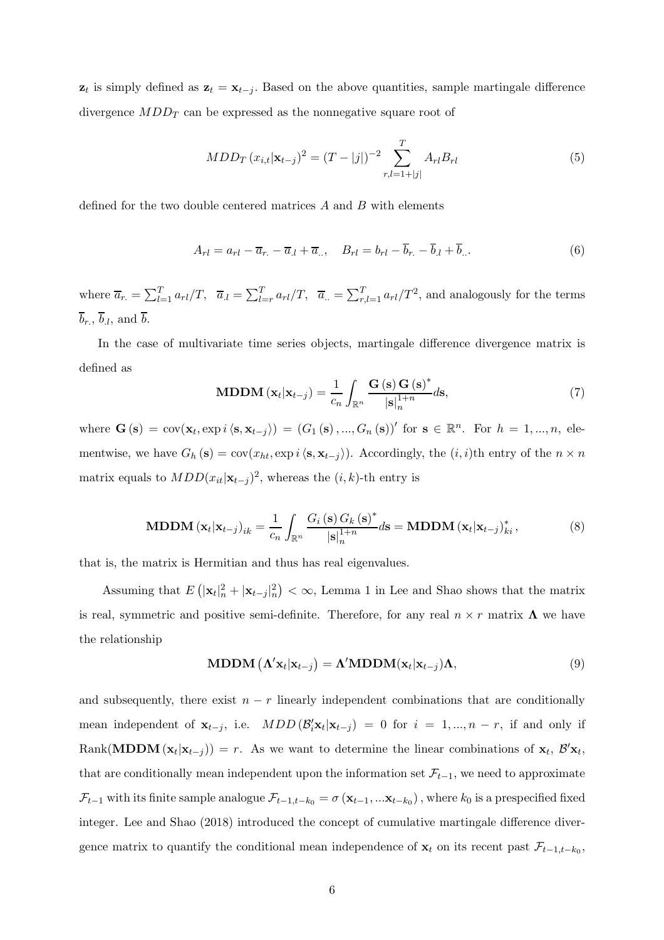$z_t$  is simply defined as  $z_t = x_{t-j}$ . Based on the above quantities, sample martingale difference divergence  $MDD_T$  can be expressed as the nonnegative square root of

$$
MDD_T (x_{i,t}|\mathbf{x}_{t-j})^2 = (T - |j|)^{-2} \sum_{r,l=1+|j|}^{T} A_{rl} B_{rl}
$$
 (5)

defined for the two double centered matrices A and B with elements

$$
A_{rl} = a_{rl} - \overline{a}_{r.} - \overline{a}_{l} + \overline{a}_{r.}, \quad B_{rl} = b_{rl} - \overline{b}_{r.} - \overline{b}_{l} + \overline{b}_{r.} \tag{6}
$$

where  $\overline{a}_{r.} = \sum_{l=1}^{T} a_{rl}/T$ ,  $\overline{a}_{.l} = \sum_{l=r}^{T} a_{rl}/T$ ,  $\overline{a}_{..} = \sum_{r,l=1}^{T} a_{rl}/T^2$ , and analogously for the terms  $\overline{b}_r$ ,  $\overline{b}_l$ , and  $\overline{b}$ .

In the case of multivariate time series objects, martingale difference divergence matrix is defined as

MDDM 
$$
(\mathbf{x}_t | \mathbf{x}_{t-j}) = \frac{1}{c_n} \int_{\mathbb{R}^n} \frac{G(s) G(s)^*}{|s|_n^{1+n}} ds,
$$
 (7)

where  $\mathbf{G}\left(\mathbf{s}\right) = \text{cov}(\mathbf{x}_t, \text{exp}\,i\,\langle\mathbf{s}, \mathbf{x}_{t-j}\rangle) = (G_1\left(\mathbf{s}\right), ..., G_n\left(\mathbf{s}\right))'$  for  $\mathbf{s} \in \mathbb{R}^n$ . For  $h = 1, ..., n$ , elementwise, we have  $G_h(s) = \text{cov}(x_{ht}, \exp i \langle s, \mathbf{x}_{t-j} \rangle)$ . Accordingly, the  $(i, i)$ th entry of the  $n \times n$ matrix equals to  $MDD(x_{it}|\mathbf{x}_{t-j})^2$ , whereas the  $(i, k)$ -th entry is

$$
\text{MDDM} \left( \mathbf{x}_t | \mathbf{x}_{t-j} \right)_{ik} = \frac{1}{c_n} \int_{\mathbb{R}^n} \frac{G_i \left( \mathbf{s} \right) G_k \left( \mathbf{s} \right)^*}{|\mathbf{s}|_n^{1+n}} d\mathbf{s} = \text{MDDM} \left( \mathbf{x}_t | \mathbf{x}_{t-j} \right)_{ki}^*, \tag{8}
$$

that is, the matrix is Hermitian and thus has real eigenvalues.

Assuming that  $E(|\mathbf{x}_t|_n^2 + |\mathbf{x}_{t-j}|_n^2) < \infty$ , Lemma 1 in Lee and Shao shows that the matrix is real, symmetric and positive semi-definite. Therefore, for any real  $n \times r$  matrix  $\Lambda$  we have the relationship

MDDM 
$$
(\Lambda' \mathbf{x}_t | \mathbf{x}_{t-j}) = \Lambda' \text{MDDM}(\mathbf{x}_t | \mathbf{x}_{t-j}) \Lambda,
$$
 (9)

and subsequently, there exist  $n - r$  linearly independent combinations that are conditionally mean independent of  $\mathbf{x}_{t-j}$ , i.e.  $MDD(\mathcal{B}'_i \mathbf{x}_t | \mathbf{x}_{t-j}) = 0$  for  $i = 1, ..., n-r$ , if and only if Rank(MDDM  $(\mathbf{x}_t | \mathbf{x}_{t-j})$ ) = r. As we want to determine the linear combinations of  $\mathbf{x}_t$ ,  $\mathcal{B}'\mathbf{x}_t$ , that are conditionally mean independent upon the information set  $\mathcal{F}_{t-1}$ , we need to approximate  $\mathcal{F}_{t-1}$  with its finite sample analogue  $\mathcal{F}_{t-1,t-k_0} = \sigma(\mathbf{x}_{t-1}, ... \mathbf{x}_{t-k_0})$ , where  $k_0$  is a prespecified fixed integer. Lee and Shao (2018) introduced the concept of cumulative martingale difference divergence matrix to quantify the conditional mean independence of  $\mathbf{x}_t$  on its recent past  $\mathcal{F}_{t-1,t-k_0}$ ,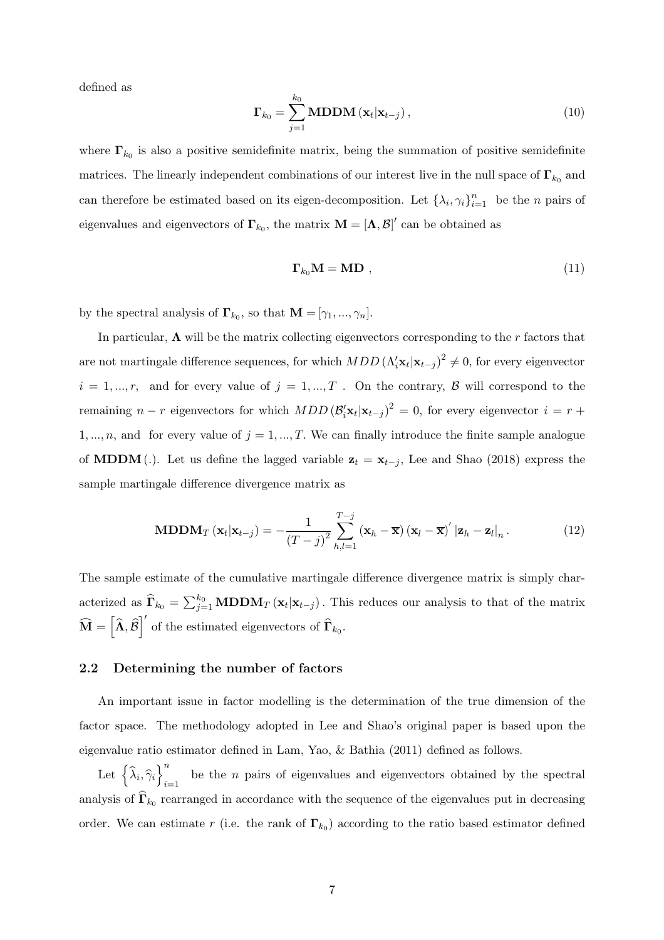defined as

$$
\mathbf{\Gamma}_{k_0} = \sum_{j=1}^{k_0} \mathbf{MDDM}(\mathbf{x}_t | \mathbf{x}_{t-j}), \qquad (10)
$$

where  $\mathbf{\Gamma}_{k_0}$  is also a positive semidefinite matrix, being the summation of positive semidefinite matrices. The linearly independent combinations of our interest live in the null space of  $\Gamma_{k_0}$  and can therefore be estimated based on its eigen-decomposition. Let  $\{\lambda_i, \gamma_i\}_{i=1}^n$  be the *n* pairs of eigenvalues and eigenvectors of  $\Gamma_{k_0}$ , the matrix  $\mathbf{M} = [\mathbf{\Lambda}, \mathcal{B}]'$  can be obtained as

$$
\Gamma_{k_0} \mathbf{M} = \mathbf{M} \mathbf{D} \tag{11}
$$

by the spectral analysis of  $\mathbf{\Gamma}_{k_0}$ , so that  $\mathbf{M} = [\gamma_1, ..., \gamma_n]$ .

In particular,  $\Lambda$  will be the matrix collecting eigenvectors corresponding to the r factors that are not martingale difference sequences, for which  $MDD(\Lambda'_i\mathbf{x}_t|\mathbf{x}_{t-j})^2 \neq 0$ , for every eigenvector  $i = 1, ..., r$ , and for every value of  $j = 1, ..., T$ . On the contrary,  $\beta$  will correspond to the remaining  $n - r$  eigenvectors for which  $MDD (\mathcal{B}'_i \mathbf{x}_t | \mathbf{x}_{t-j})^2 = 0$ , for every eigenvector  $i = r +$ 1, ..., n, and for every value of  $j = 1, ..., T$ . We can finally introduce the finite sample analogue of **MDDM**(.). Let us define the lagged variable  $z_t = x_{t-j}$ , Lee and Shao (2018) express the sample martingale difference divergence matrix as

$$
\mathbf{MDDM}_{T}\left(\mathbf{x}_{t}|\mathbf{x}_{t-j}\right) = -\frac{1}{\left(T-j\right)^{2}}\sum_{h,l=1}^{T-j}\left(\mathbf{x}_{h}-\overline{\mathbf{x}}\right)\left(\mathbf{x}_{l}-\overline{\mathbf{x}}\right)^{'}\left|\mathbf{z}_{h}-\mathbf{z}_{l}\right|_{n}.\tag{12}
$$

The sample estimate of the cumulative martingale difference divergence matrix is simply characterized as  $\hat{\Gamma}_{k_0} = \sum_{j=1}^{k_0} \text{MDDM}_T(\mathbf{x}_t | \mathbf{x}_{t-j})$ . This reduces our analysis to that of the matrix  $\widehat{\mathbf{M}} = \left[\widehat{\mathbf{\Lambda}}, \widehat{\mathcal{B}}\right]'$  of the estimated eigenvectors of  $\widehat{\mathbf{\Gamma}}_{k_0}$ .

#### 2.2 Determining the number of factors

An important issue in factor modelling is the determination of the true dimension of the factor space. The methodology adopted in Lee and Shao's original paper is based upon the eigenvalue ratio estimator defined in Lam, Yao, & Bathia (2011) defined as follows.

Let  $\left\{ \widehat{\lambda}_{i},\widehat{\gamma}_{i}\right\} _{i=1}^{n}$ be the *n* pairs of eigenvalues and eigenvectors obtained by the spectral analysis of  $\widehat{\Gamma}_{k_0}$  rearranged in accordance with the sequence of the eigenvalues put in decreasing order. We can estimate r (i.e. the rank of  $\Gamma_{k_0}$ ) according to the ratio based estimator defined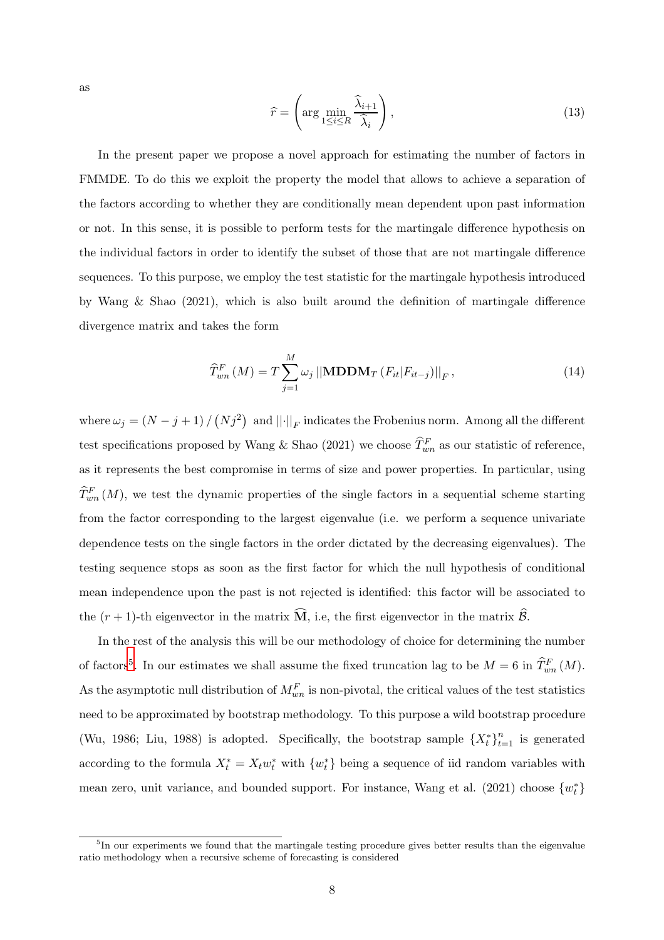as

$$
\widehat{r} = \left(\arg\min_{1 \le i \le R} \frac{\widehat{\lambda}_{i+1}}{\widehat{\lambda}_i}\right),\tag{13}
$$

In the present paper we propose a novel approach for estimating the number of factors in FMMDE. To do this we exploit the property the model that allows to achieve a separation of the factors according to whether they are conditionally mean dependent upon past information or not. In this sense, it is possible to perform tests for the martingale difference hypothesis on the individual factors in order to identify the subset of those that are not martingale difference sequences. To this purpose, we employ the test statistic for the martingale hypothesis introduced by Wang & Shao (2021), which is also built around the definition of martingale difference divergence matrix and takes the form

$$
\widehat{T}_{wn}^{F}(M) = T \sum_{j=1}^{M} \omega_j ||\mathbf{MDDM}_{T} (F_{it}|F_{it-j})||_F, \qquad (14)
$$

where  $\omega_j = (N - j + 1) / (N j^2)$  and  $||\cdot||_F$  indicates the Frobenius norm. Among all the different test specifications proposed by Wang & Shao (2021) we choose  $\widehat{T}_{wn}^F$  as our statistic of reference, as it represents the best compromise in terms of size and power properties. In particular, using  $\widehat{T}_{wn}^{F}(M)$ , we test the dynamic properties of the single factors in a sequential scheme starting from the factor corresponding to the largest eigenvalue (i.e. we perform a sequence univariate dependence tests on the single factors in the order dictated by the decreasing eigenvalues). The testing sequence stops as soon as the first factor for which the null hypothesis of conditional mean independence upon the past is not rejected is identified: this factor will be associated to the  $(r + 1)$ -th eigenvector in the matrix  $\widehat{M}$ , i.e, the first eigenvector in the matrix  $\widehat{\mathcal{B}}$ .

In the rest of the analysis this will be our methodology of choice for determining the number of factors<sup>[5](#page-7-0)</sup>. In our estimates we shall assume the fixed truncation lag to be  $M = 6$  in  $\widehat{T}_{wn}^F(M)$ . As the asymptotic null distribution of  $M_{wn}^F$  is non-pivotal, the critical values of the test statistics need to be approximated by bootstrap methodology. To this purpose a wild bootstrap procedure (Wu, 1986; Liu, 1988) is adopted. Specifically, the bootstrap sample  $\{X_t^*\}_{t=1}^n$  is generated according to the formula  $X_t^* = X_t w_t^*$  with  $\{w_t^*\}$  being a sequence of iid random variables with mean zero, unit variance, and bounded support. For instance, Wang et al. (2021) choose  $\{w_t^*\}$ 

<span id="page-7-0"></span><sup>&</sup>lt;sup>5</sup>In our experiments we found that the martingale testing procedure gives better results than the eigenvalue ratio methodology when a recursive scheme of forecasting is considered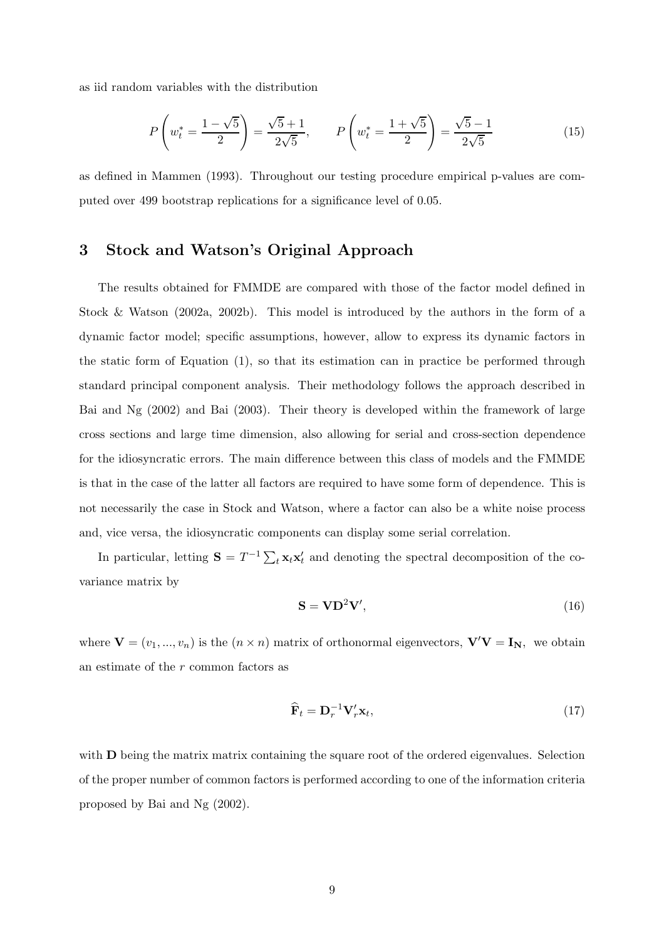as iid random variables with the distribution

$$
P\left(w_t^* = \frac{1-\sqrt{5}}{2}\right) = \frac{\sqrt{5}+1}{2\sqrt{5}}, \qquad P\left(w_t^* = \frac{1+\sqrt{5}}{2}\right) = \frac{\sqrt{5}-1}{2\sqrt{5}}\tag{15}
$$

<span id="page-8-0"></span>as defined in Mammen (1993). Throughout our testing procedure empirical p-values are computed over 499 bootstrap replications for a significance level of 0.05.

## 3 Stock and Watson's Original Approach

The results obtained for FMMDE are compared with those of the factor model defined in Stock & Watson (2002a, 2002b). This model is introduced by the authors in the form of a dynamic factor model; specific assumptions, however, allow to express its dynamic factors in the static form of Equation (1), so that its estimation can in practice be performed through standard principal component analysis. Their methodology follows the approach described in Bai and Ng (2002) and Bai (2003). Their theory is developed within the framework of large cross sections and large time dimension, also allowing for serial and cross-section dependence for the idiosyncratic errors. The main difference between this class of models and the FMMDE is that in the case of the latter all factors are required to have some form of dependence. This is not necessarily the case in Stock and Watson, where a factor can also be a white noise process and, vice versa, the idiosyncratic components can display some serial correlation.

In particular, letting  $S = T^{-1} \sum_t \mathbf{x}_t \mathbf{x}'_t$  and denoting the spectral decomposition of the covariance matrix by

$$
S = V D^2 V', \t\t(16)
$$

where  $\mathbf{V} = (v_1, ..., v_n)$  is the  $(n \times n)$  matrix of orthonormal eigenvectors,  $\mathbf{V}'\mathbf{V} = \mathbf{I_N}$ , we obtain an estimate of the r common factors as

$$
\widehat{\mathbf{F}}_t = \mathbf{D}_r^{-1} \mathbf{V}_r' \mathbf{x}_t,\tag{17}
$$

with **D** being the matrix matrix containing the square root of the ordered eigenvalues. Selection of the proper number of common factors is performed according to one of the information criteria proposed by Bai and Ng (2002).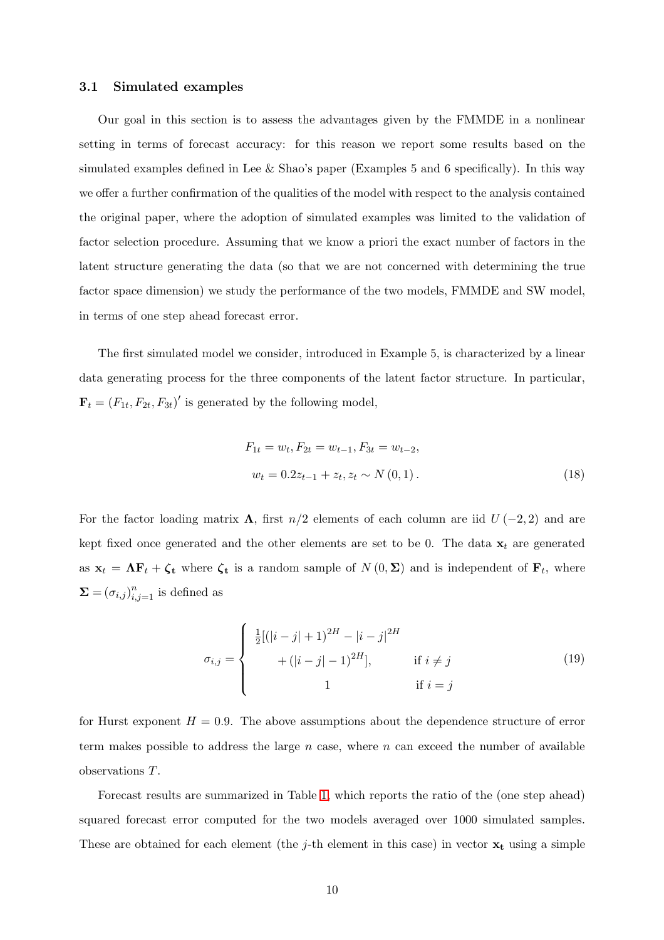#### 3.1 Simulated examples

Our goal in this section is to assess the advantages given by the FMMDE in a nonlinear setting in terms of forecast accuracy: for this reason we report some results based on the simulated examples defined in Lee & Shao's paper (Examples 5 and 6 specifically). In this way we offer a further confirmation of the qualities of the model with respect to the analysis contained the original paper, where the adoption of simulated examples was limited to the validation of factor selection procedure. Assuming that we know a priori the exact number of factors in the latent structure generating the data (so that we are not concerned with determining the true factor space dimension) we study the performance of the two models, FMMDE and SW model, in terms of one step ahead forecast error.

The first simulated model we consider, introduced in Example 5, is characterized by a linear data generating process for the three components of the latent factor structure. In particular,  $\mathbf{F}_t = (F_{1t}, F_{2t}, F_{3t})'$  is generated by the following model,

$$
F_{1t} = w_t, F_{2t} = w_{t-1}, F_{3t} = w_{t-2},
$$
  

$$
w_t = 0.2z_{t-1} + z_t, z_t \sim N(0, 1).
$$
 (18)

For the factor loading matrix  $\Lambda$ , first  $n/2$  elements of each column are iid  $U(-2, 2)$  and are kept fixed once generated and the other elements are set to be 0. The data  $x_t$  are generated as  $\mathbf{x}_t = \mathbf{\Lambda} \mathbf{F}_t + \boldsymbol{\zeta}_t$  where  $\boldsymbol{\zeta}_t$  is a random sample of  $N(0, \Sigma)$  and is independent of  $\mathbf{F}_t$ , where  $\Sigma = (\sigma_{i,j})_{i,j=1}^n$  is defined as

$$
\sigma_{i,j} = \begin{cases}\n\frac{1}{2}[(|i-j|+1)^{2H} - |i-j|^{2H} \\
+ (|i-j|-1)^{2H}], & \text{if } i \neq j \\
1 & \text{if } i = j\n\end{cases}
$$
\n(19)

for Hurst exponent  $H = 0.9$ . The above assumptions about the dependence structure of error term makes possible to address the large  $n$  case, where  $n$  can exceed the number of available observations T.

Forecast results are summarized in Table [1,](#page-11-1) which reports the ratio of the (one step ahead) squared forecast error computed for the two models averaged over 1000 simulated samples. These are obtained for each element (the j-th element in this case) in vector  $x_t$  using a simple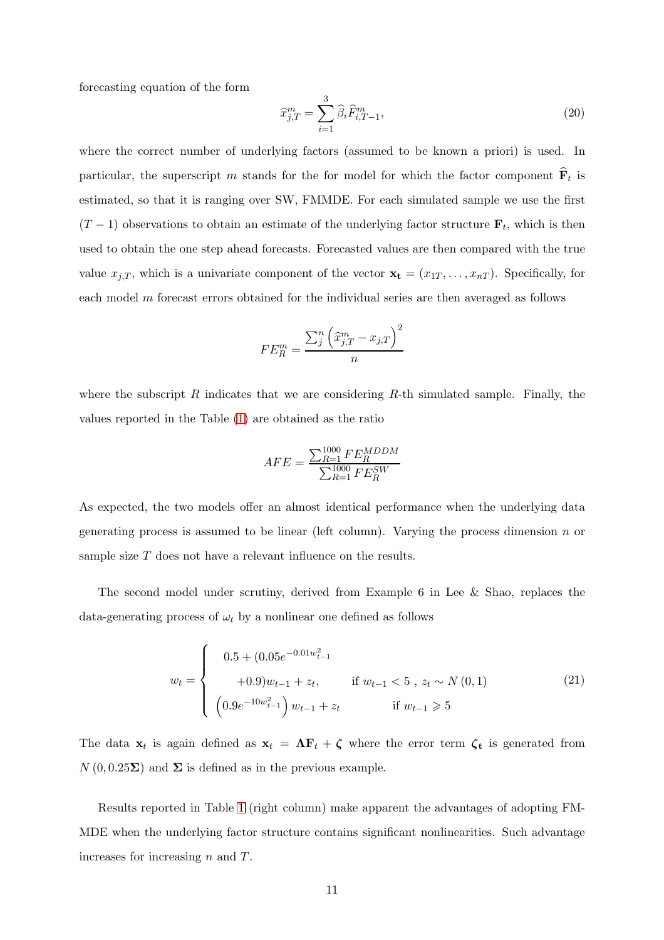forecasting equation of the form

$$
\widehat{x}_{j,T}^m = \sum_{i=1}^3 \widehat{\beta}_i \widehat{F}_{i,T-1}^m,\tag{20}
$$

where the correct number of underlying factors (assumed to be known a priori) is used. In particular, the superscript m stands for the for model for which the factor component  $\hat{\mathbf{F}}_t$  is estimated, so that it is ranging over SW, FMMDE. For each simulated sample we use the first  $(T-1)$  observations to obtain an estimate of the underlying factor structure  $\mathbf{F}_t$ , which is then used to obtain the one step ahead forecasts. Forecasted values are then compared with the true value  $x_{j,T}$ , which is a univariate component of the vector  $\mathbf{x_t} = (x_{1T}, \ldots, x_{nT})$ . Specifically, for each model m forecast errors obtained for the individual series are then averaged as follows

$$
FE_R^m = \frac{\sum_j^n \left(\widehat{x}_{j,T}^m - x_{j,T}\right)^2}{n}
$$

where the subscript R indicates that we are considering R-th simulated sample. Finally, the values reported in the Table [\(1\)](#page-11-1) are obtained as the ratio

$$
AFE = \frac{\sum_{R=1}^{1000} FE_R^{MDDM}}{\sum_{R=1}^{1000} FE_R^{SW}}
$$

As expected, the two models offer an almost identical performance when the underlying data generating process is assumed to be linear (left column). Varying the process dimension  $n$  or sample size T does not have a relevant influence on the results.

The second model under scrutiny, derived from Example 6 in Lee & Shao, replaces the data-generating process of  $\omega_t$  by a nonlinear one defined as follows

$$
w_{t} = \begin{cases} 0.5 + (0.05e^{-0.01w_{t-1}^{2}} \\ +0.9)w_{t-1} + z_{t}, & \text{if } w_{t-1} < 5, z_{t} \sim N(0, 1) \\ (0.9e^{-10w_{t-1}^{2}}) w_{t-1} + z_{t} & \text{if } w_{t-1} \geq 5 \end{cases}
$$
 (21)

The data  $\mathbf{x}_t$  is again defined as  $\mathbf{x}_t = \Lambda \mathbf{F}_t + \zeta$  where the error term  $\zeta_t$  is generated from  $N(0, 0.25\Sigma)$  and  $\Sigma$  is defined as in the previous example.

Results reported in Table [1](#page-11-1) (right column) make apparent the advantages of adopting FM-MDE when the underlying factor structure contains significant nonlinearities. Such advantage increases for increasing n and T.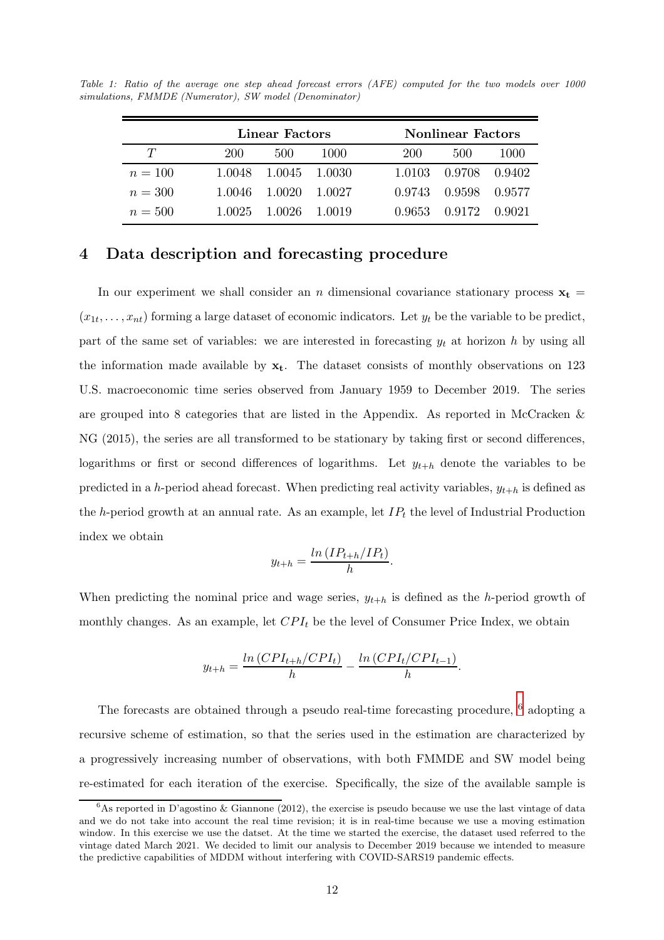|           | Linear Factors |        | <b>Nonlinear Factors</b> |        |        |        |
|-----------|----------------|--------|--------------------------|--------|--------|--------|
| $T\,$     | 200            | 500    | 1000                     | 200    | 500    | 1000   |
| $n = 100$ | 1.0048         | 1.0045 | - 1.0030                 | 1.0103 | 0.9708 | 0.9402 |
| $n = 300$ | 1.0046         | 1.0020 | - 1.0027                 | 0.9743 | 0.9598 | 0.9577 |
| $n = 500$ | 1.0025         | 1.0026 | 1.0019                   | 0.9653 | 0.9172 | 0.9021 |

<span id="page-11-1"></span>Table 1: Ratio of the average one step ahead forecast errors (AFE) computed for the two models over 1000 simulations, FMMDE (Numerator), SW model (Denominator)

## <span id="page-11-0"></span>4 Data description and forecasting procedure

In our experiment we shall consider an n dimensional covariance stationary process  $x_t$  =  $(x_{1t},...,x_{nt})$  forming a large dataset of economic indicators. Let  $y_t$  be the variable to be predict, part of the same set of variables: we are interested in forecasting  $y_t$  at horizon h by using all the information made available by  $x_t$ . The dataset consists of monthly observations on 123 U.S. macroeconomic time series observed from January 1959 to December 2019. The series are grouped into 8 categories that are listed in the Appendix. As reported in McCracken & NG (2015), the series are all transformed to be stationary by taking first or second differences, logarithms or first or second differences of logarithms. Let  $y_{t+h}$  denote the variables to be predicted in a h-period ahead forecast. When predicting real activity variables,  $y_{t+h}$  is defined as the h-period growth at an annual rate. As an example, let  $IP_t$  the level of Industrial Production index we obtain

$$
y_{t+h} = \frac{\ln \left( IP_{t+h}/IP_t \right)}{h}.
$$

When predicting the nominal price and wage series,  $y_{t+h}$  is defined as the h-period growth of monthly changes. As an example, let  $CPI_t$  be the level of Consumer Price Index, we obtain

$$
y_{t+h} = \frac{\ln (CPI_{t+h}/CPI_t)}{h} - \frac{\ln (CPI_t/CPI_{t-1})}{h}.
$$

The forecasts are obtained through a pseudo real-time forecasting procedure,  $^6$  $^6$  adopting a recursive scheme of estimation, so that the series used in the estimation are characterized by a progressively increasing number of observations, with both FMMDE and SW model being re-estimated for each iteration of the exercise. Specifically, the size of the available sample is

<span id="page-11-2"></span> ${}^{6}$ As reported in D'agostino & Giannone (2012), the exercise is pseudo because we use the last vintage of data and we do not take into account the real time revision; it is in real-time because we use a moving estimation window. In this exercise we use the datset. At the time we started the exercise, the dataset used referred to the vintage dated March 2021. We decided to limit our analysis to December 2019 because we intended to measure the predictive capabilities of MDDM without interfering with COVID-SARS19 pandemic effects.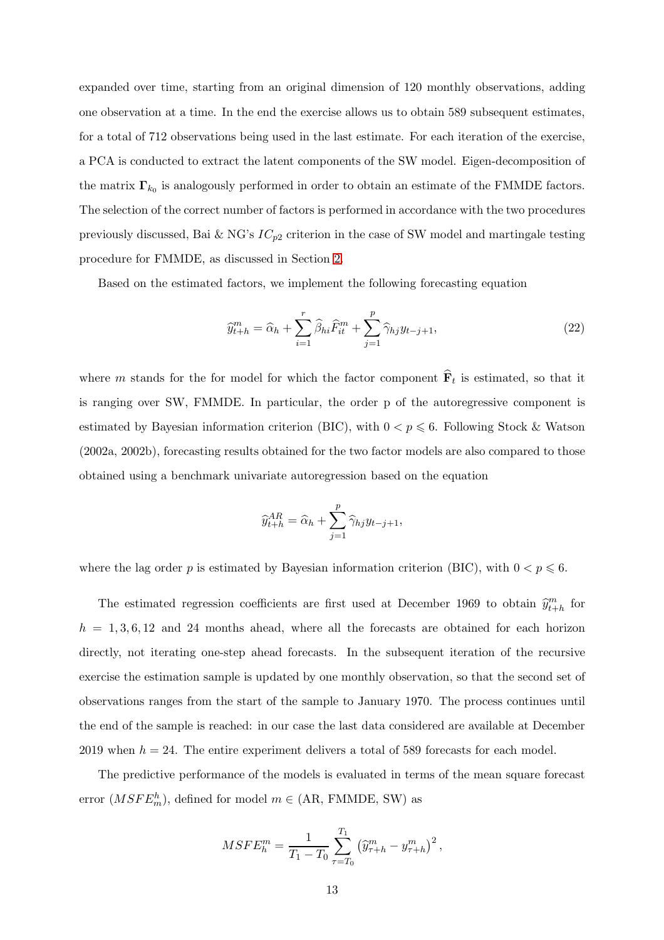expanded over time, starting from an original dimension of 120 monthly observations, adding one observation at a time. In the end the exercise allows us to obtain 589 subsequent estimates, for a total of 712 observations being used in the last estimate. For each iteration of the exercise, a PCA is conducted to extract the latent components of the SW model. Eigen-decomposition of the matrix  $\mathbf{\Gamma}_{k_0}$  is analogously performed in order to obtain an estimate of the FMMDE factors. The selection of the correct number of factors is performed in accordance with the two procedures previously discussed, Bai & NG's  $IC_{p2}$  criterion in the case of SW model and martingale testing procedure for FMMDE, as discussed in Section [2.](#page-3-0)

Based on the estimated factors, we implement the following forecasting equation

$$
\widehat{y}_{t+h}^m = \widehat{\alpha}_h + \sum_{i=1}^r \widehat{\beta}_{hi} \widehat{F}_{it}^m + \sum_{j=1}^p \widehat{\gamma}_{hj} y_{t-j+1},\tag{22}
$$

where m stands for the for model for which the factor component  $\widehat{\mathbf{F}}_t$  is estimated, so that it is ranging over SW, FMMDE. In particular, the order p of the autoregressive component is estimated by Bayesian information criterion (BIC), with  $0 < p \le 6$ . Following Stock & Watson (2002a, 2002b), forecasting results obtained for the two factor models are also compared to those obtained using a benchmark univariate autoregression based on the equation

$$
\widehat{y}_{t+h}^{AR} = \widehat{\alpha}_h + \sum_{j=1}^p \widehat{\gamma}_{hj} y_{t-j+1},
$$

where the lag order p is estimated by Bayesian information criterion (BIC), with  $0 < p \le 6$ .

The estimated regression coefficients are first used at December 1969 to obtain  $\widehat{y}^m_{t+h}$  for  $h = 1, 3, 6, 12$  and 24 months ahead, where all the forecasts are obtained for each horizon directly, not iterating one-step ahead forecasts. In the subsequent iteration of the recursive exercise the estimation sample is updated by one monthly observation, so that the second set of observations ranges from the start of the sample to January 1970. The process continues until the end of the sample is reached: in our case the last data considered are available at December 2019 when  $h = 24$ . The entire experiment delivers a total of 589 forecasts for each model.

The predictive performance of the models is evaluated in terms of the mean square forecast error  $(MSFE_m^h)$ , defined for model  $m \in (AR, FMMDE, SW)$  as

$$
MSFE_{h}^{m} = \frac{1}{T_1 - T_0} \sum_{\tau = T_0}^{T_1} \left( \widehat{y}_{\tau+h}^{m} - y_{\tau+h}^{m} \right)^2,
$$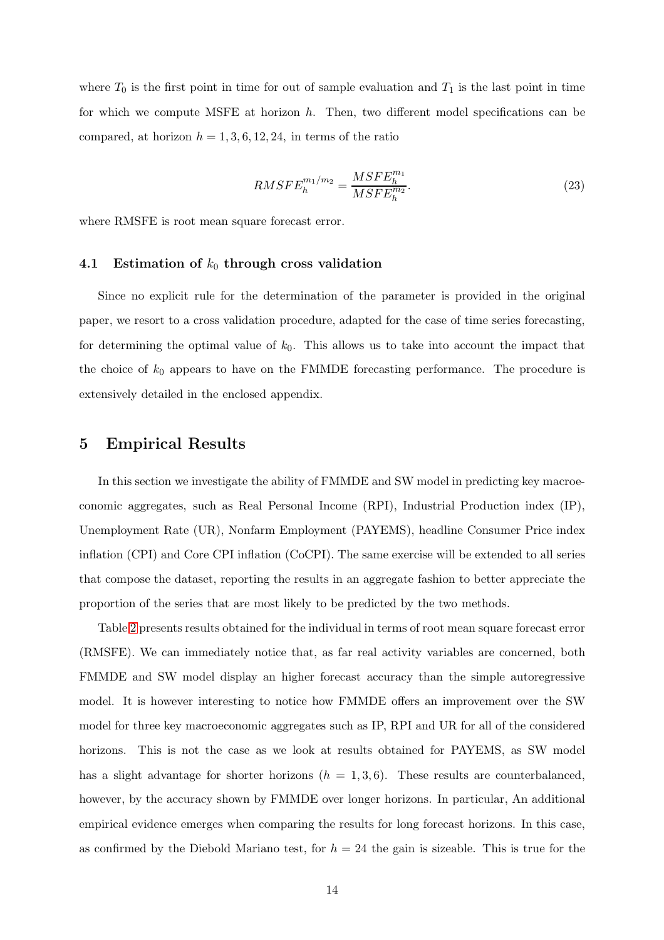where  $T_0$  is the first point in time for out of sample evaluation and  $T_1$  is the last point in time for which we compute MSFE at horizon  $h$ . Then, two different model specifications can be compared, at horizon  $h = 1, 3, 6, 12, 24$ , in terms of the ratio

$$
RMSFE_{h}^{m_{1}/m_{2}} = \frac{MSFE_{h}^{m_{1}}}{MSFE_{h}^{m_{2}}}.
$$
\n(23)

where RMSFE is root mean square forecast error.

#### 4.1 Estimation of  $k_0$  through cross validation

Since no explicit rule for the determination of the parameter is provided in the original paper, we resort to a cross validation procedure, adapted for the case of time series forecasting, for determining the optimal value of  $k_0$ . This allows us to take into account the impact that the choice of  $k_0$  appears to have on the FMMDE forecasting performance. The procedure is extensively detailed in the enclosed appendix.

#### <span id="page-13-0"></span>5 Empirical Results

In this section we investigate the ability of FMMDE and SW model in predicting key macroeconomic aggregates, such as Real Personal Income (RPI), Industrial Production index (IP), Unemployment Rate (UR), Nonfarm Employment (PAYEMS), headline Consumer Price index inflation (CPI) and Core CPI inflation (CoCPI). The same exercise will be extended to all series that compose the dataset, reporting the results in an aggregate fashion to better appreciate the proportion of the series that are most likely to be predicted by the two methods.

Table [2](#page-25-0) presents results obtained for the individual in terms of root mean square forecast error (RMSFE). We can immediately notice that, as far real activity variables are concerned, both FMMDE and SW model display an higher forecast accuracy than the simple autoregressive model. It is however interesting to notice how FMMDE offers an improvement over the SW model for three key macroeconomic aggregates such as IP, RPI and UR for all of the considered horizons. This is not the case as we look at results obtained for PAYEMS, as SW model has a slight advantage for shorter horizons  $(h = 1, 3, 6)$ . These results are counterbalanced, however, by the accuracy shown by FMMDE over longer horizons. In particular, An additional empirical evidence emerges when comparing the results for long forecast horizons. In this case, as confirmed by the Diebold Mariano test, for  $h = 24$  the gain is sizeable. This is true for the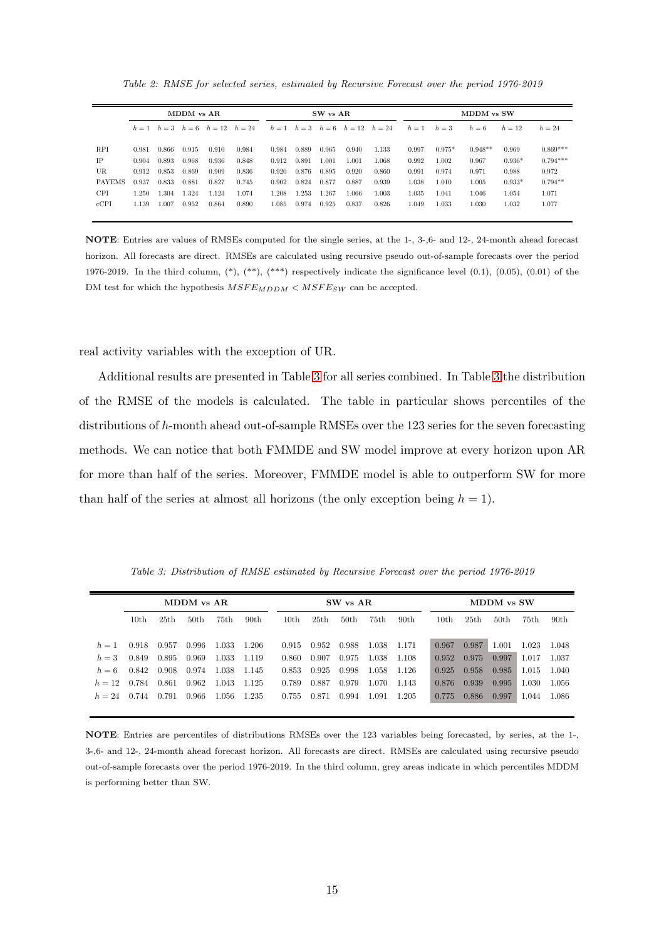Table 2: RMSE for selected series, estimated by Recursive Forecast over the period 1976-2019

|               |       |       | MDDM vs AR |                                           |       |       |       | MDDM vs SW<br>SW vs AR |                                           |       |       |          |           |          |            |
|---------------|-------|-------|------------|-------------------------------------------|-------|-------|-------|------------------------|-------------------------------------------|-------|-------|----------|-----------|----------|------------|
|               |       |       |            | $h = 1$ $h = 3$ $h = 6$ $h = 12$ $h = 24$ |       |       |       |                        | $h = 1$ $h = 3$ $h = 6$ $h = 12$ $h = 24$ |       | $h=1$ | $h=3$    | $h=6$     | $h = 12$ | $h = 24$   |
|               |       |       |            |                                           |       |       |       |                        |                                           |       |       |          |           |          |            |
| <b>RPI</b>    | 0.981 | 0.866 | 0.915      | 0.910                                     | 0.984 | 0.984 | 0.889 | 0.965                  | 0.940                                     | 1.133 | 0.997 | $0.975*$ | $0.948**$ | 0.969    | $0.869***$ |
| <b>IP</b>     | 0.904 | 0.893 | 0.968      | 0.936                                     | 0.848 | 0.912 | 0.891 | 1.001                  | 1.001                                     | 1.068 | 0.992 | 1.002    | 0.967     | $0.936*$ | $0.794***$ |
| UR.           | 0.912 | 0.853 | 0.869      | 0.909                                     | 0.836 | 0.920 | 0.876 | 0.895                  | 0.920                                     | 0.860 | 0.991 | 0.974    | 0.971     | 0.988    | 0.972      |
| <b>PAYEMS</b> | 0.937 | 0.833 | 0.881      | 0.827                                     | 0.745 | 0.902 | 0.824 | 0.877                  | 0.887                                     | 0.939 | 1.038 | 1.010    | 1.005     | $0.933*$ | $0.794**$  |
| <b>CPI</b>    | 250   | 1.304 | 1.324      | 1.123                                     | 1.074 | 1.208 | 1.253 | 1.267                  | 1.066                                     | 1.003 | 1.035 | 1.041    | 1.046     | 1.054    | 1.071      |
| cCPI          | 1.139 | 1.007 | 0.952      | 0.864                                     | 0.890 | 1.085 | 0.974 | 0.925                  | 0.837                                     | 0.826 | 1.049 | 1.033    | 1.030     | 1.032    | 1.077      |
|               |       |       |            |                                           |       |       |       |                        |                                           |       |       |          |           |          |            |

NOTE: Entries are values of RMSEs computed for the single series, at the 1-, 3-,6- and 12-, 24-month ahead forecast horizon. All forecasts are direct. RMSEs are calculated using recursive pseudo out-of-sample forecasts over the period 1976-2019. In the third column,  $(*), (**, (**, *)$  respectively indicate the significance level  $(0.1), (0.05), (0.01)$  of the DM test for which the hypothesis  $MSFE_{MDDM} < MSFE_{SW}$  can be accepted.

real activity variables with the exception of UR.

Additional results are presented in Table [3](#page-14-0) for all series combined. In Table [3](#page-14-0) the distribution of the RMSE of the models is calculated. The table in particular shows percentiles of the distributions of h-month ahead out-of-sample RMSEs over the 123 series for the seven forecasting methods. We can notice that both FMMDE and SW model improve at every horizon upon AR for more than half of the series. Moreover, FMMDE model is able to outperform SW for more than half of the series at almost all horizons (the only exception being  $h = 1$ ).

Table 3: Distribution of RMSE estimated by Recursive Forecast over the period 1976-2019

<span id="page-14-0"></span>

|          |                  | MDDM vs AR       |                  |       |                  | SW vs AR |                  |                  |       |                  |                  | MDDM vs SW       |                  |       |                  |  |
|----------|------------------|------------------|------------------|-------|------------------|----------|------------------|------------------|-------|------------------|------------------|------------------|------------------|-------|------------------|--|
|          | 10 <sub>th</sub> | 25 <sub>th</sub> | 50 <sub>th</sub> | 75th  | 90 <sub>th</sub> | 10th     | 25 <sub>th</sub> | 50 <sub>th</sub> | 75th  | 90 <sub>th</sub> | 10 <sub>th</sub> | 25 <sub>th</sub> | 50 <sub>th</sub> | 75th  | 90 <sub>th</sub> |  |
|          |                  |                  |                  |       |                  |          |                  |                  |       |                  |                  |                  |                  |       |                  |  |
| $h=1$    | 0.918            | 0.957            | 0.996            | 1.033 | 1.206            | 0.915    | 0.952            | 0.988            | 1.038 | 1.171            | 0.967            | 0.987            | 1.001            | 1.023 | 1.048            |  |
| $h=3$    | 0.849            | 0.895            | 0.969            | 1.033 | 1.119            | 0.860    | 0.907            | 0.975            | 1.038 | 1.108            | 0.952            | 0.975            | 0.997            | 1.017 | 1.037            |  |
| $h=6$    | 0.842            | 0.908            | 0.974            | 1.038 | 1.145            | 0.853    | 0.925            | 0.998            | 1.058 | 1.126            | 0.925            | 0.958            | 0.985            | 1.015 | 1.040            |  |
| $h = 12$ | 0.784            | 0.861            | 0.962            | 1.043 | 1.125            | 0.789    | 0.887            | 0.979            | 1.070 | 1.143            | 0.876            | 0.939            | 0.995            | 1.030 | 1.056            |  |
| $h = 24$ | 0.744            | 0.791            | 0.966            | 1.056 | 1.235            | 0.755    | 0.871            | 0.994            | 1.091 | 1.205            | 0.775            | 0.886            | 0.997            | 1.044 | 1.086            |  |

NOTE: Entries are percentiles of distributions RMSEs over the 123 variables being forecasted, by series, at the 1-, 3-,6- and 12-, 24-month ahead forecast horizon. All forecasts are direct. RMSEs are calculated using recursive pseudo out-of-sample forecasts over the period 1976-2019. In the third column, grey areas indicate in which percentiles MDDM is performing better than SW.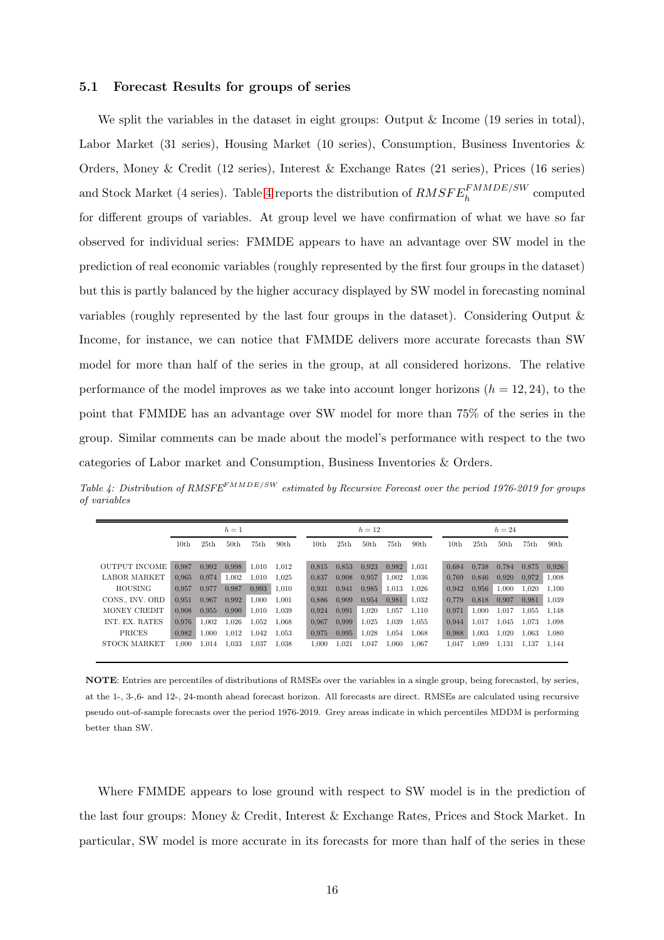#### 5.1 Forecast Results for groups of series

We split the variables in the dataset in eight groups: Output & Income (19 series in total), Labor Market (31 series), Housing Market (10 series), Consumption, Business Inventories & Orders, Money & Credit (12 series), Interest & Exchange Rates (21 series), Prices (16 series) and Stock Market (4 series). Table [4](#page-15-0) reports the distribution of  $RMSFE_h^{FMMDE/SW}$  computed for different groups of variables. At group level we have confirmation of what we have so far observed for individual series: FMMDE appears to have an advantage over SW model in the prediction of real economic variables (roughly represented by the first four groups in the dataset) but this is partly balanced by the higher accuracy displayed by SW model in forecasting nominal variables (roughly represented by the last four groups in the dataset). Considering Output & Income, for instance, we can notice that FMMDE delivers more accurate forecasts than SW model for more than half of the series in the group, at all considered horizons. The relative performance of the model improves as we take into account longer horizons  $(h = 12, 24)$ , to the point that FMMDE has an advantage over SW model for more than 75% of the series in the group. Similar comments can be made about the model's performance with respect to the two categories of Labor market and Consumption, Business Inventories & Orders.

<span id="page-15-0"></span>Table 4: Distribution of RMSFE<sup>FMMDE/SW</sup> estimated by Recursive Forecast over the period 1976-2019 for groups of variables

|                      |                  |                  | $h=1$ |       |                  |       |       | $h = 12$         |       |                  | $h=24$ |       |                  |       |                  |
|----------------------|------------------|------------------|-------|-------|------------------|-------|-------|------------------|-------|------------------|--------|-------|------------------|-------|------------------|
|                      | 10 <sub>th</sub> | 25 <sub>th</sub> | 50th  | 75th  | 90 <sub>th</sub> | 10th  | 25th  | 50 <sub>th</sub> | 75th  | 90 <sub>th</sub> | 10th   | 25th  | 50 <sub>th</sub> | 75th  | 90 <sub>th</sub> |
| <b>OUTPUT INCOME</b> | 0.987            | 0.992            | 0.998 | 1.010 | 1.012            | 0.815 | 0.853 | 0.923            | 0.982 | 1.031            | 0.684  | 0.738 | 0.784            | 0.875 | 0,926            |
| <b>LABOR MARKET</b>  | 0.965            | 0.974            | 1.002 | 1.010 | 1.025            | 0.837 | 0.908 | 0.957            | 1,002 | 1.036            | 0.769  | 0.846 | 0,920            | 0.972 | 1,008            |
| <b>HOUSING</b>       | 0.957            | 0.977            | 0.987 | 0.993 | 1,010            | 0.931 | 0.941 | 0.985            | 1,013 | 1,026            | 0.942  | 0.956 | 1,000            | 1,020 | 1,100            |
| CONS., INV. ORD      | 0.951            | 0.967            | 0.992 | 1.000 | 1.001            | 0.886 | 0.909 | 0.954            | 0.981 | 1,032            | 0.779  | 0.818 | 0,907            | 0.981 | 1,039            |
| MONEY CREDIT         | 0,908            | 0.955            | 0.990 | 1,010 | 1.039            | 0.924 | 0.991 | 1,020            | 1,057 | 1.110            | 0.971  | 1,000 | 1,017            | 1,055 | 1,148            |
| INT. EX. RATES       | 0.976            | 1,002            | 1,026 | 1,052 | 1.068            | 0.967 | 0.999 | 1,025            | 1,039 | 1,055            | 0,944  | 1,017 | 1,045            | 1,073 | 1,098            |
| PRICES               | 0,982            | 1,000            | 1,012 | 1.042 | 1.053            | 0.975 | 0.995 | 1,028            | 1,054 | 1,068            | 0,988  | 1,003 | 1,020            | 1,063 | 1,080            |
| STOCK MARKET         | 1,000            | 1,014            | 1.033 | 1,037 | 1.038            | 1,000 | 1,021 | 1,047            | 1,060 | 1,067            | 1,047  | 1,089 | 1,131            | 1,137 | 1,144            |

NOTE: Entries are percentiles of distributions of RMSEs over the variables in a single group, being forecasted, by series, at the 1-, 3-,6- and 12-, 24-month ahead forecast horizon. All forecasts are direct. RMSEs are calculated using recursive pseudo out-of-sample forecasts over the period 1976-2019. Grey areas indicate in which percentiles MDDM is performing better than SW.

Where FMMDE appears to lose ground with respect to SW model is in the prediction of the last four groups: Money & Credit, Interest & Exchange Rates, Prices and Stock Market. In particular, SW model is more accurate in its forecasts for more than half of the series in these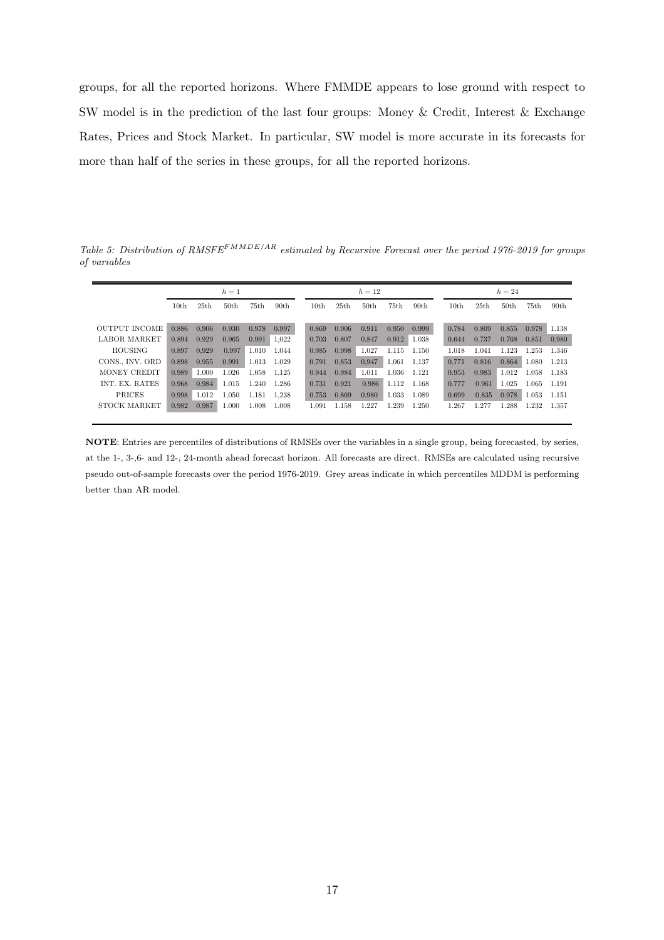groups, for all the reported horizons. Where FMMDE appears to lose ground with respect to SW model is in the prediction of the last four groups: Money & Credit, Interest & Exchange Rates, Prices and Stock Market. In particular, SW model is more accurate in its forecasts for more than half of the series in these groups, for all the reported horizons.

Table 5: Distribution of RMSFE<sup>FMMDE/AR</sup> estimated by Recursive Forecast over the period 1976-2019 for groups of variables

|                      |       | $h=1$            |       |                  |                  |       | $h=12$ |                  |       |                  | $h=24$ |       |       |                  |       |                  |
|----------------------|-------|------------------|-------|------------------|------------------|-------|--------|------------------|-------|------------------|--------|-------|-------|------------------|-------|------------------|
|                      | 10th  | 25 <sub>th</sub> | 50th  | 75 <sub>th</sub> | 90 <sub>th</sub> | 10th  | 25th   | 50 <sub>th</sub> | 75th  | 90 <sub>th</sub> |        | 10th  | 25th  | 50 <sub>th</sub> | 75th  | 90 <sub>th</sub> |
| <b>OUTPUT INCOME</b> | 0.886 | 0.906            | 0.930 | 0.978            | 0.997            | 0.869 | 0.906  | 0.911            | 0.950 | 0.999            |        | 0.784 | 0.809 | 0.855            | 0.978 | 1.138            |
| <b>LABOR MARKET</b>  | 0.894 | 0.929            | 0.965 | 0.991            | 1.022            | 0.703 | 0.807  | 0.847            | 0.912 | 1.038            |        | 0.644 | 0.737 | 0.768            | 0.851 | 0.980            |
| <b>HOUSING</b>       | 0.897 | 0.929            | 0.997 | 1.010            | 1.044            | 0.985 | 0.998  | 1.027            | 1.115 | 1.150            |        | 1.018 | 1.041 | 1.123            | 1.253 | 1.346            |
| CONS., INV. ORD      | 0.898 | 0.955            | 0.991 | 1.013            | 1.029            | 0.791 | 0.853  | 0.947            | 1.061 | 1.137            |        | 0.771 | 0.816 | 0.864            | 1.080 | 1.213            |
| MONEY CREDIT         | 0.989 | 1.000            | 1.026 | 1.058            | 1.125            | 0.944 | 0.984  | 1.011            | 1.036 | 1.121            |        | 0.953 | 0.983 | 1.012            | 1.058 | 1.183            |
| INT. EX. RATES       | 0.968 | 0.984            | 1.015 | 1.240            | 1.286            | 0.731 | 0.921  | 0.986            | 1.112 | 1.168            |        | 0.777 | 0.961 | 1.025            | 1.065 | 1.191            |
| PRICES               | 0.998 | 1.012            | 1.050 | 1.181            | 1.238            | 0.753 | 0.869  | 0.980            | 1.033 | 1.089            |        | 0.699 | 0.835 | 0.978            | 1.053 | 1.151            |
| STOCK MARKET         | 0.982 | 0.987            | 1.000 | 1.008            | 1.008            | 1.091 | 1.158  | 1.227            | 1.239 | 1.250            |        | 1.267 | 1.277 | 1.288            | 1.232 | 1.357            |

NOTE: Entries are percentiles of distributions of RMSEs over the variables in a single group, being forecasted, by series, at the 1-, 3-,6- and 12-, 24-month ahead forecast horizon. All forecasts are direct. RMSEs are calculated using recursive pseudo out-of-sample forecasts over the period 1976-2019. Grey areas indicate in which percentiles MDDM is performing better than AR model.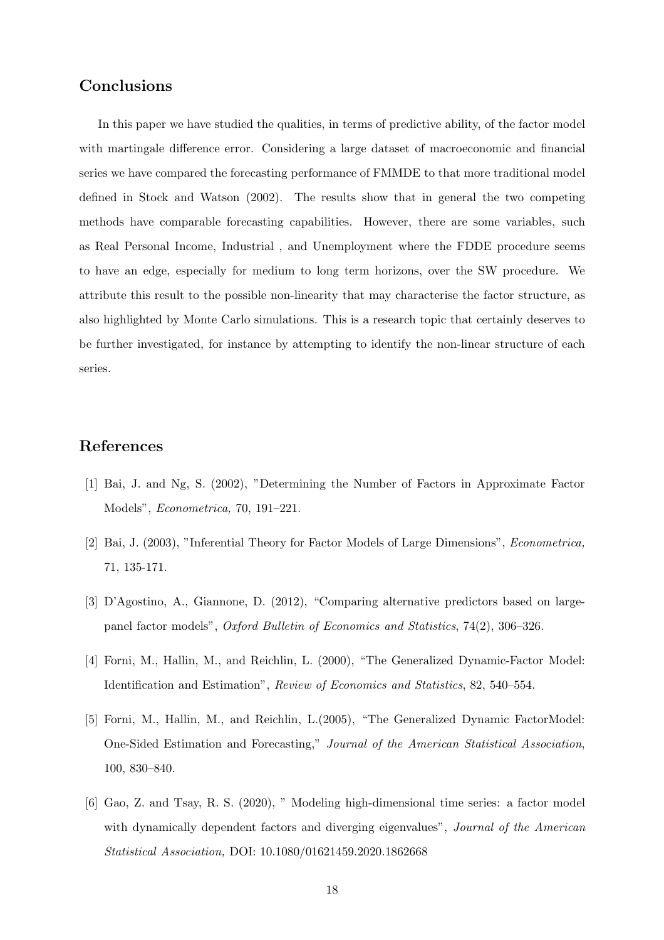## Conclusions

In this paper we have studied the qualities, in terms of predictive ability, of the factor model with martingale difference error. Considering a large dataset of macroeconomic and financial series we have compared the forecasting performance of FMMDE to that more traditional model defined in Stock and Watson (2002). The results show that in general the two competing methods have comparable forecasting capabilities. However, there are some variables, such as Real Personal Income, Industrial , and Unemployment where the FDDE procedure seems to have an edge, especially for medium to long term horizons, over the SW procedure. We attribute this result to the possible non-linearity that may characterise the factor structure, as also highlighted by Monte Carlo simulations. This is a research topic that certainly deserves to be further investigated, for instance by attempting to identify the non-linear structure of each series.

## References

- [1] Bai, J. and Ng, S. (2002), "Determining the Number of Factors in Approximate Factor Models", Econometrica, 70, 191–221.
- [2] Bai, J. (2003), "Inferential Theory for Factor Models of Large Dimensions", Econometrica, 71, 135-171.
- [3] D'Agostino, A., Giannone, D. (2012), "Comparing alternative predictors based on largepanel factor models", Oxford Bulletin of Economics and Statistics, 74(2), 306–326.
- [4] Forni, M., Hallin, M., and Reichlin, L. (2000), "The Generalized Dynamic-Factor Model: Identification and Estimation", Review of Economics and Statistics, 82, 540–554.
- [5] Forni, M., Hallin, M., and Reichlin, L.(2005), "The Generalized Dynamic FactorModel: One-Sided Estimation and Forecasting," Journal of the American Statistical Association, 100, 830–840.
- [6] Gao, Z. and Tsay, R. S. (2020), " Modeling high-dimensional time series: a factor model with dynamically dependent factors and diverging eigenvalues", *Journal of the American* Statistical Association, DOI: 10.1080/01621459.2020.1862668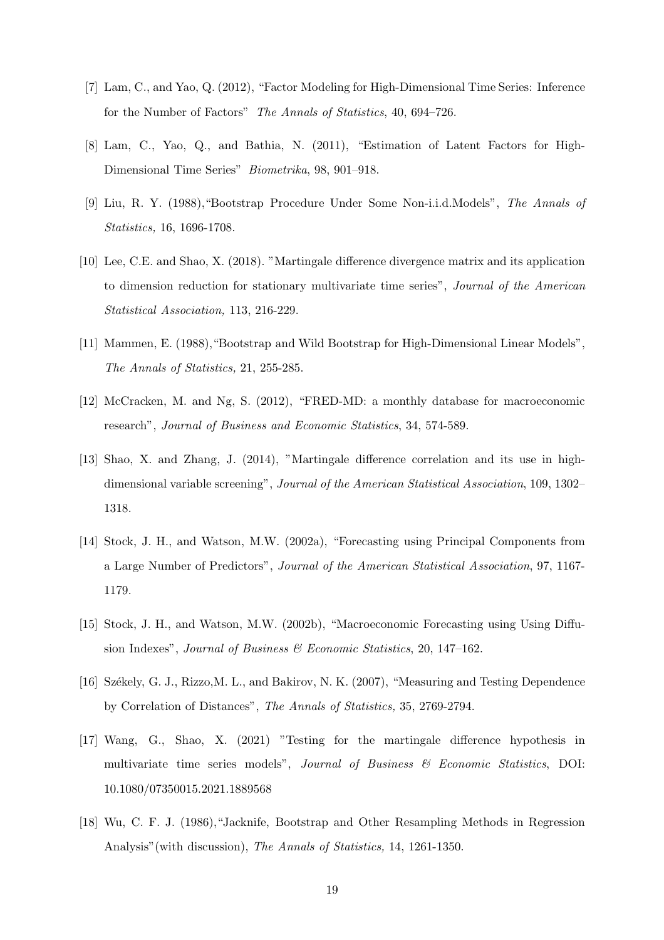- [7] Lam, C., and Yao, Q. (2012), "Factor Modeling for High-Dimensional Time Series: Inference for the Number of Factors" The Annals of Statistics, 40, 694–726.
- [8] Lam, C., Yao, Q., and Bathia, N. (2011), "Estimation of Latent Factors for High-Dimensional Time Series" Biometrika, 98, 901–918.
- [9] Liu, R. Y. (1988),"Bootstrap Procedure Under Some Non-i.i.d.Models", The Annals of Statistics, 16, 1696-1708.
- [10] Lee, C.E. and Shao, X. (2018). "Martingale difference divergence matrix and its application to dimension reduction for stationary multivariate time series", Journal of the American Statistical Association, 113, 216-229.
- [11] Mammen, E. (1988),"Bootstrap and Wild Bootstrap for High-Dimensional Linear Models", The Annals of Statistics, 21, 255-285.
- [12] McCracken, M. and Ng, S. (2012), "FRED-MD: a monthly database for macroeconomic research", Journal of Business and Economic Statistics, 34, 574-589.
- [13] Shao, X. and Zhang, J. (2014), "Martingale difference correlation and its use in highdimensional variable screening", Journal of the American Statistical Association, 109, 1302– 1318.
- [14] Stock, J. H., and Watson, M.W. (2002a), "Forecasting using Principal Components from a Large Number of Predictors", Journal of the American Statistical Association, 97, 1167- 1179.
- [15] Stock, J. H., and Watson, M.W. (2002b), "Macroeconomic Forecasting using Using Diffusion Indexes", Journal of Business & Economic Statistics, 20, 147-162.
- [16] Sz´ekely, G. J., Rizzo,M. L., and Bakirov, N. K. (2007), "Measuring and Testing Dependence by Correlation of Distances", The Annals of Statistics, 35, 2769-2794.
- [17] Wang, G., Shao, X. (2021) "Testing for the martingale difference hypothesis in multivariate time series models", Journal of Business & Economic Statistics, DOI: 10.1080/07350015.2021.1889568
- [18] Wu, C. F. J. (1986),"Jacknife, Bootstrap and Other Resampling Methods in Regression Analysis"(with discussion), The Annals of Statistics, 14, 1261-1350.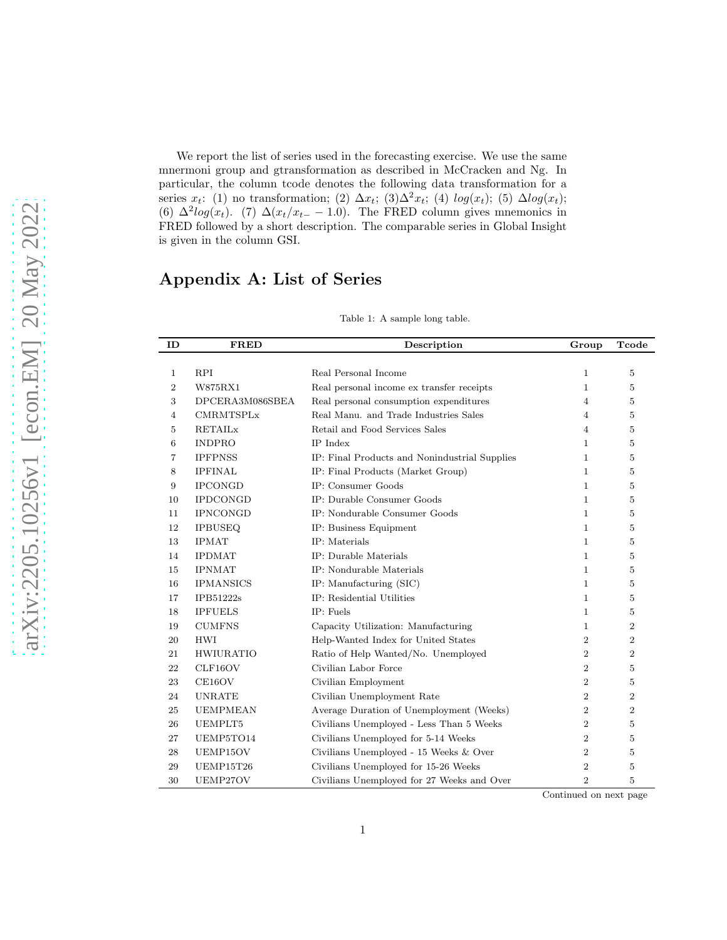We report the list of series used in the forecasting exercise. We use the same mnermoni group and gtransformation as described in McCracken and Ng. In particular, the column tcode denotes the following data transformation for a series  $x_t$ : (1) no transformation; (2)  $\Delta x_t$ ; (3) $\Delta^2 x_t$ ; (4)  $log(x_t)$ ; (5)  $\Delta log(x_t)$ ; (6)  $\Delta^2 log(x_t)$ . (7)  $\Delta (x_t/x_{t-} - 1.0)$ . The FRED column gives mnemonics in FRED followed by a short description. The comparable series in Global Insight is given in the column GSI.

# Appendix A: List of Series

|  |  |  | Table 1: A sample long table. |  |  |  |
|--|--|--|-------------------------------|--|--|--|
|--|--|--|-------------------------------|--|--|--|

| ID             | <b>FRED</b>      | Description                                   | Group          | Tcode          |
|----------------|------------------|-----------------------------------------------|----------------|----------------|
|                |                  |                                               |                |                |
| 1              | <b>RPI</b>       | Real Personal Income                          | $\mathbf{1}$   | 5              |
| $\overline{2}$ | W875RX1          | Real personal income ex transfer receipts     | $\mathbf{1}$   | 5              |
| 3              | DPCERA3M086SBEA  | Real personal consumption expenditures        | 4              | 5              |
| 4              | <b>CMRMTSPLx</b> | Real Manu. and Trade Industries Sales         | 4              | $\overline{5}$ |
| 5              | <b>RETAILx</b>   | Retail and Food Services Sales                | 4              | 5              |
| 6              | <b>INDPRO</b>    | <b>IP</b> Index                               | $\mathbf{1}$   | 5              |
| 7              | <b>IPFPNSS</b>   | IP: Final Products and Nonindustrial Supplies | $\mathbf{1}$   | 5              |
| 8              | <b>IPFINAL</b>   | IP: Final Products (Market Group)             | $\mathbf{1}$   | 5              |
| 9              | <b>IPCONGD</b>   | IP: Consumer Goods                            | $\mathbf{1}$   | 5              |
| 10             | <b>IPDCONGD</b>  | IP: Durable Consumer Goods                    | $\mathbf{1}$   | 5              |
| 11             | <b>IPNCONGD</b>  | IP: Nondurable Consumer Goods                 | $\mathbf{1}$   | $\overline{5}$ |
| 12             | <b>IPBUSEQ</b>   | IP: Business Equipment                        | $\mathbf{1}$   | 5              |
| 13             | <b>IPMAT</b>     | IP: Materials                                 | $\mathbf{1}$   | $\overline{5}$ |
| 14             | <b>IPDMAT</b>    | IP: Durable Materials                         | $\mathbf{1}$   | 5              |
| 15             | <b>IPNMAT</b>    | IP: Nondurable Materials                      | $\mathbf{1}$   | 5              |
| 16             | <b>IPMANSICS</b> | IP: Manufacturing (SIC)                       | $\mathbf{1}$   | 5              |
| 17             | IPB51222s        | IP: Residential Utilities                     | $\mathbf{1}$   | 5              |
| 18             | <b>IPFUELS</b>   | IP: Fuels                                     | $\mathbf{1}$   | 5              |
| 19             | <b>CUMFNS</b>    | Capacity Utilization: Manufacturing           | 1              | $\overline{2}$ |
| 20             | <b>HWI</b>       | Help-Wanted Index for United States           | $\overline{2}$ | $\overline{2}$ |
| 21             | <b>HWIURATIO</b> | Ratio of Help Wanted/No. Unemployed           | $\overline{2}$ | $\overline{2}$ |
| 22             | CLF16OV          | Civilian Labor Force                          | $\overline{2}$ | $\overline{5}$ |
| 23             | CE16OV           | Civilian Employment                           | $\overline{2}$ | 5              |
| 24             | <b>UNRATE</b>    | Civilian Unemployment Rate                    | $\overline{2}$ | $\overline{2}$ |
| 25             | <b>UEMPMEAN</b>  | Average Duration of Unemployment (Weeks)      | $\overline{2}$ | $\overline{2}$ |
| 26             | UEMPLT5          | Civilians Unemployed - Less Than 5 Weeks      | $\overline{2}$ | 5              |
| 27             | UEMP5TO14        | Civilians Unemployed for 5-14 Weeks           | $\overline{2}$ | 5              |
| 28             | UEMP15OV         | Civilians Unemployed - 15 Weeks & Over        | $\overline{2}$ | 5              |
| 29             | UEMP15T26        | Civilians Unemployed for 15-26 Weeks          | $\overline{2}$ | 5              |
| 30             | UEMP27OV         | Civilians Unemployed for 27 Weeks and Over    | $\overline{2}$ | 5              |

Continued on next page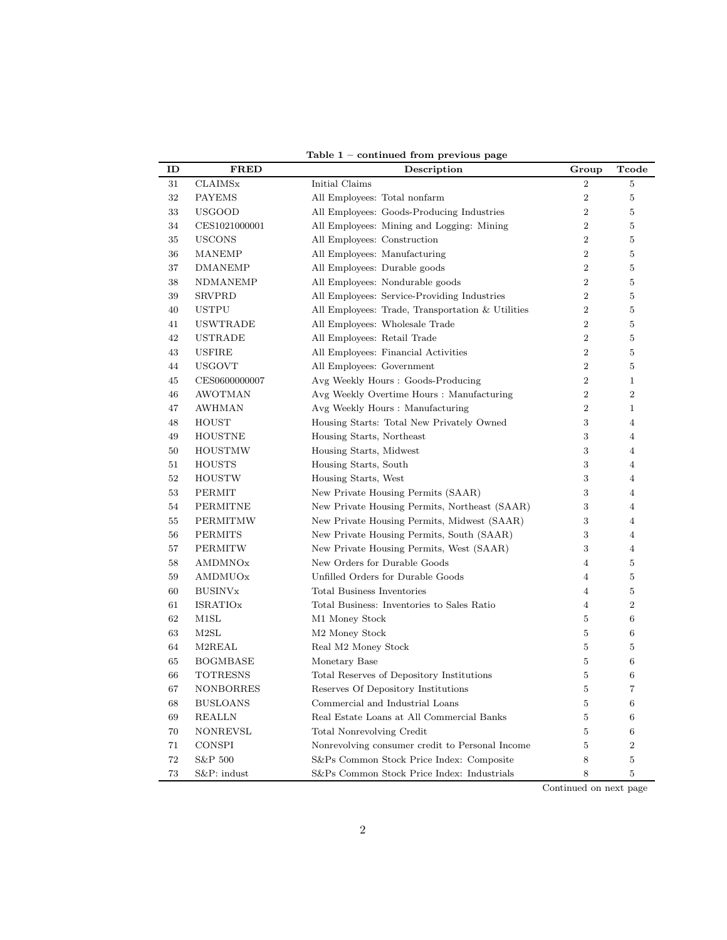| ID | <b>FRED</b>      | Description                                      | Group          | Tcode           |
|----|------------------|--------------------------------------------------|----------------|-----------------|
| 31 | <b>CLAIMSx</b>   | Initial Claims                                   | $\overline{2}$ | $\bf 5$         |
| 32 | <b>PAYEMS</b>    | All Employees: Total nonfarm                     | $\overline{2}$ | $\bf 5$         |
| 33 | <b>USGOOD</b>    | All Employees: Goods-Producing Industries        | $\overline{2}$ | $\bf 5$         |
| 34 | CES1021000001    | All Employees: Mining and Logging: Mining        | $\overline{2}$ | $\bf 5$         |
| 35 | <b>USCONS</b>    | All Employees: Construction                      | $\overline{2}$ | $\overline{5}$  |
| 36 | <b>MANEMP</b>    | All Employees: Manufacturing                     | $\overline{2}$ | $\bf 5$         |
| 37 | DMANEMP          | All Employees: Durable goods                     | $\overline{2}$ | $\overline{5}$  |
| 38 | NDMANEMP         | All Employees: Nondurable goods                  | $\overline{2}$ | $\bf 5$         |
| 39 | <b>SRVPRD</b>    | All Employees: Service-Providing Industries      | $\overline{2}$ | $\overline{5}$  |
| 40 | <b>USTPU</b>     | All Employees: Trade, Transportation & Utilities | $\overline{2}$ | $\overline{5}$  |
| 41 | USWTRADE         | All Employees: Wholesale Trade                   | $\overline{2}$ | $\bf 5$         |
| 42 | USTRADE          | All Employees: Retail Trade                      | $\overline{2}$ | $\bf 5$         |
| 43 | <b>USFIRE</b>    | All Employees: Financial Activities              | $\overline{2}$ | $\overline{5}$  |
| 44 | <b>USGOVT</b>    | All Employees: Government                        | $\overline{2}$ | $\overline{5}$  |
| 45 | CES0600000007    | Avg Weekly Hours: Goods-Producing                | $\overline{2}$ | $\mathbf{1}$    |
| 46 | <b>AWOTMAN</b>   | Avg Weekly Overtime Hours : Manufacturing        | $\overline{2}$ | $\overline{2}$  |
| 47 | <b>AWHMAN</b>    | Avg Weekly Hours : Manufacturing                 | $\overline{2}$ | $\mathbf{1}$    |
| 48 | HOUST            | Housing Starts: Total New Privately Owned        | 3              | $\overline{4}$  |
| 49 | <b>HOUSTNE</b>   | Housing Starts, Northeast                        | 3              | $\overline{4}$  |
| 50 | <b>HOUSTMW</b>   | Housing Starts, Midwest                          | 3              | $\overline{4}$  |
| 51 | HOUSTS           | Housing Starts, South                            | 3              | $\overline{4}$  |
| 52 | <b>HOUSTW</b>    | Housing Starts, West                             | 3              | $\overline{4}$  |
| 53 | <b>PERMIT</b>    | New Private Housing Permits (SAAR)               | 3              | $\overline{4}$  |
| 54 | PERMITNE         | New Private Housing Permits, Northeast (SAAR)    | 3              | $\overline{4}$  |
| 55 | PERMITMW         | New Private Housing Permits, Midwest (SAAR)      | 3              | $\overline{4}$  |
| 56 | PERMITS          | New Private Housing Permits, South (SAAR)        | 3              | $\overline{4}$  |
| 57 | <b>PERMITW</b>   | New Private Housing Permits, West (SAAR)         | 3              | $\overline{4}$  |
| 58 | AMDMNOx          | New Orders for Durable Goods                     | $\overline{4}$ | $\bf 5$         |
| 59 | AMDMUOx          | Unfilled Orders for Durable Goods                | 4              | $\overline{5}$  |
| 60 | <b>BUSINV</b> x  | <b>Total Business Inventories</b>                | $\overline{4}$ | $\bf 5$         |
| 61 | <b>ISRATIOx</b>  | Total Business: Inventories to Sales Ratio       | $\overline{4}$ | $\overline{2}$  |
| 62 | M1SL             | M1 Money Stock                                   | 5              | $6\phantom{.}6$ |
| 63 | M2SL             | M <sub>2</sub> Money Stock                       | 5              | $\,6\,$         |
| 64 | M2REAL           | Real M2 Money Stock                              | 5              | $\overline{5}$  |
| 65 | <b>BOGMBASE</b>  | Monetary Base                                    | $\overline{5}$ | $\,6$           |
| 66 | TOTRESNS         | Total Reserves of Depository Institutions        | 5              | $6\phantom{.}6$ |
| 67 | <b>NONBORRES</b> | Reserves Of Depository Institutions              | $\bf 5$        | $\overline{7}$  |
| 68 | <b>BUSLOANS</b>  | Commercial and Industrial Loans                  | 5              | $\,6$           |
| 69 | REALLN           | Real Estate Loans at All Commercial Banks        | 5              | $6\phantom{.}6$ |
| 70 | <b>NONREVSL</b>  | <b>Total Nonrevolving Credit</b>                 | $\overline{5}$ | $\,6$           |
| 71 | <b>CONSPI</b>    | Nonrevolving consumer credit to Personal Income  | 5              | $\overline{2}$  |
| 72 | S&P 500          | S&Ps Common Stock Price Index: Composite         | 8              | $\bf 5$         |
| 73 | S&P: indust      | S&Ps Common Stock Price Index: Industrials       | 8              | $\overline{5}$  |

Table 1 – continued from previous page

Continued on next page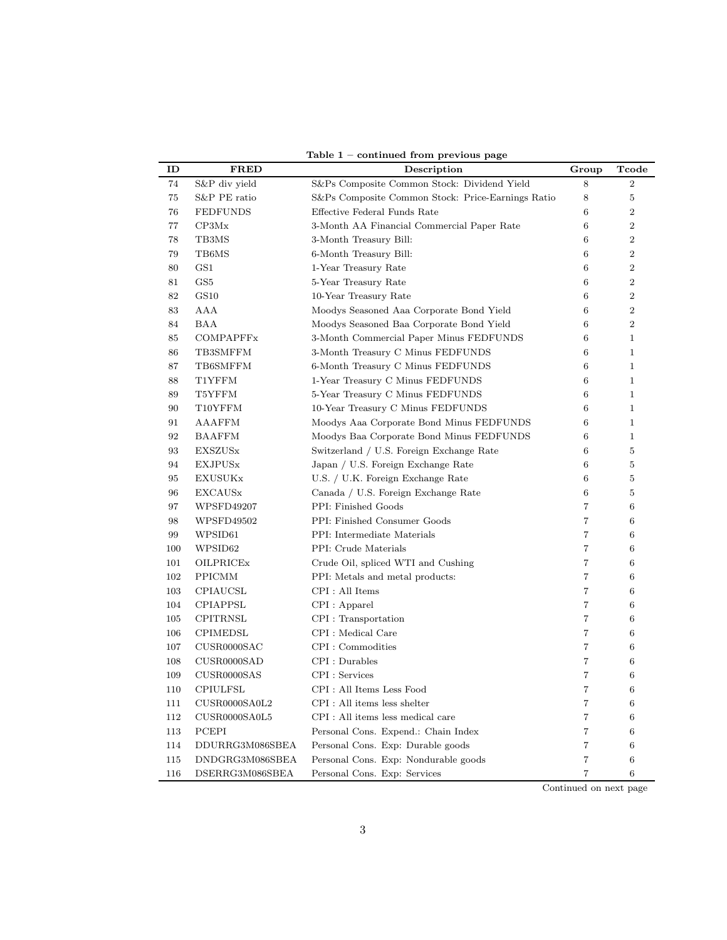| ID  | <b>FRED</b>      | Description                                       | Group           | Tcode            |
|-----|------------------|---------------------------------------------------|-----------------|------------------|
| 74  | S&P div yield    | S&Ps Composite Common Stock: Dividend Yield       | 8               | $\overline{2}$   |
| 75  | S&P PE ratio     | S&Ps Composite Common Stock: Price-Earnings Ratio | 8               | $\overline{5}$   |
| 76  | <b>FEDFUNDS</b>  | Effective Federal Funds Rate                      | 6               | $\overline{2}$   |
| 77  | CP3Mx            | 3-Month AA Financial Commercial Paper Rate        | $6\phantom{1}6$ | $\boldsymbol{2}$ |
| 78  | TB3MS            | 3-Month Treasury Bill:                            | 6               | $\boldsymbol{2}$ |
| 79  | TB6MS            | 6-Month Treasury Bill:                            | $6\phantom{1}6$ | $\overline{2}$   |
| 80  | GS1              | 1-Year Treasury Rate                              | 6               | $\overline{2}$   |
| 81  | GS <sub>5</sub>  | 5-Year Treasury Rate                              | 6               | $\overline{2}$   |
| 82  | GS10             | 10-Year Treasury Rate                             | 6               | $\overline{2}$   |
| 83  | AAA              | Moodys Seasoned Aaa Corporate Bond Yield          | $6\phantom{.}6$ | $\overline{2}$   |
| 84  | BAA              | Moodys Seasoned Baa Corporate Bond Yield          | 6               | $\boldsymbol{2}$ |
| 85  | <b>COMPAPFFx</b> | 3-Month Commercial Paper Minus FEDFUNDS           | 6               | $\mathbf{1}$     |
| 86  | TB3SMFFM         | 3-Month Treasury C Minus FEDFUNDS                 | $6\phantom{.}6$ | $\mathbf{1}$     |
| 87  | TB6SMFFM         | 6-Month Treasury C Minus FEDFUNDS                 | $6\phantom{.}6$ | $\mathbf{1}$     |
| 88  | T1YFFM           | 1-Year Treasury C Minus FEDFUNDS                  | 6               | $\mathbf{1}$     |
| 89  | T5YFFM           | 5-Year Treasury C Minus FEDFUNDS                  | 6               | $\mathbf{1}$     |
| 90  | T10YFFM          | 10-Year Treasury C Minus FEDFUNDS                 | 6               | $\mathbf{1}$     |
| 91  | AAAFFM           | Moodys Aaa Corporate Bond Minus FEDFUNDS          | 6               | $\mathbf{1}$     |
| 92  | <b>BAAFFM</b>    | Moodys Baa Corporate Bond Minus FEDFUNDS          | 6               | $\mathbf{1}$     |
| 93  | <b>EXSZUS</b> x  | Switzerland / U.S. Foreign Exchange Rate          | $6\phantom{.}6$ | $\bf 5$          |
| 94  | <b>EXJPUSx</b>   | Japan / U.S. Foreign Exchange Rate                | 6               | $\bf 5$          |
| 95  | <b>EXUSUKx</b>   | U.S. / U.K. Foreign Exchange Rate                 | 6               | $\overline{5}$   |
| 96  | <b>EXCAUS</b> x  | Canada / U.S. Foreign Exchange Rate               | $6\phantom{.}6$ | $\overline{5}$   |
| 97  | WPSFD49207       | PPI: Finished Goods                               | $\overline{7}$  | $6\phantom{.}6$  |
| 98  | WPSFD49502       | PPI: Finished Consumer Goods                      | $\overline{7}$  | 6                |
| 99  | WPSID61          | PPI: Intermediate Materials                       | $\overline{7}$  | $\,6\,$          |
| 100 | WPSID62          | PPI: Crude Materials                              | $\overline{7}$  | 6                |
| 101 | OILPRICEx        | Crude Oil, spliced WTI and Cushing                | $\overline{7}$  | 6                |
| 102 | <b>PPICMM</b>    | PPI: Metals and metal products:                   | $\overline{7}$  | $\,6$            |
| 103 | CPIAUCSL         | CPI : All Items                                   | $\overline{7}$  | 6                |
| 104 | CPIAPPSL         | CPI : Apparel                                     | $\overline{7}$  | $\,6\,$          |
| 105 | <b>CPITRNSL</b>  | CPI : Transportation                              | $\overline{7}$  | $6\phantom{.}6$  |
| 106 | <b>CPIMEDSL</b>  | CPI : Medical Care                                | $\overline{7}$  | 6                |
| 107 | CUSR0000SAC      | CPI: Commodities                                  | $\overline{7}$  | $\,6$            |
| 108 | CUSR0000SAD      | CPI : Durables                                    | 7               | 6                |
| 109 | CUSR0000SAS      | CPI : Services                                    | $\overline{7}$  | $6\phantom{.}6$  |
| 110 | <b>CPIULFSL</b>  | CPI: All Items Less Food                          | $\overline{7}$  | $\,6\,$          |
| 111 | CUSR0000SA0L2    | CPI : All items less shelter                      | $\overline{7}$  | 6                |
| 112 | CUSR0000SA0L5    | CPI : All items less medical care                 | $\overline{7}$  | $6\phantom{.}6$  |
| 113 | PCEPI            | Personal Cons. Expend.: Chain Index               | $\overline{7}$  | $\,6\,$          |
| 114 | DDURRG3M086SBEA  | Personal Cons. Exp: Durable goods                 | $\overline{7}$  | 6                |
| 115 | DNDGRG3M086SBEA  | Personal Cons. Exp: Nondurable goods              | $\overline{7}$  | 6                |
| 116 | DSERRG3M086SBEA  | Personal Cons. Exp. Services                      | $\overline{7}$  | 6                |

Table 1 – continued from previous page

Continued on next page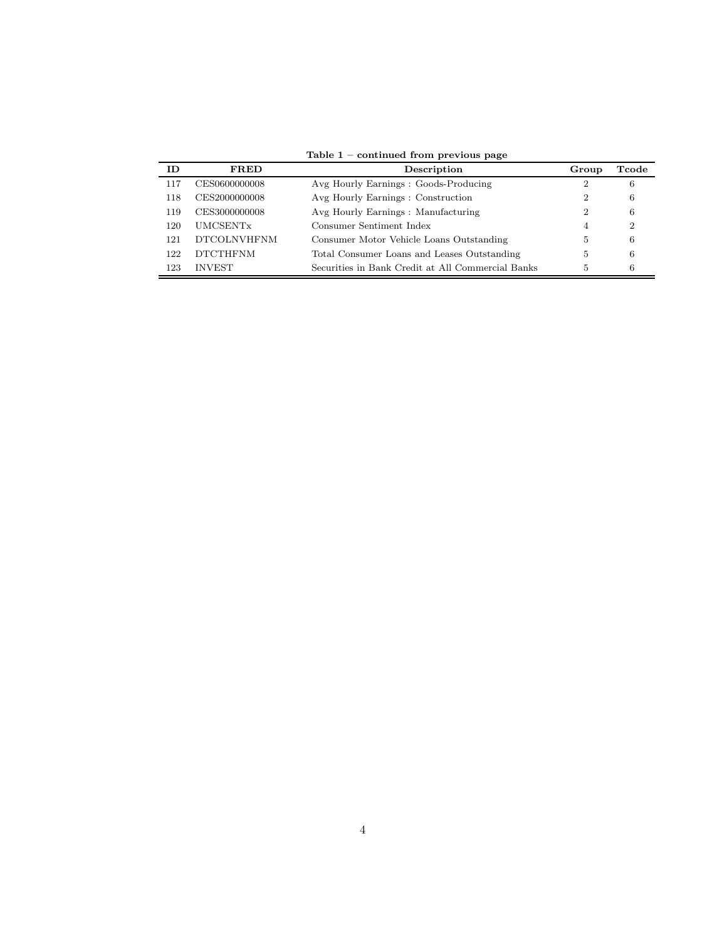| ID. | <b>FRED</b>                 | Description                                       | Group          | Tcode |
|-----|-----------------------------|---------------------------------------------------|----------------|-------|
| 117 | CES0600000008               | Avg Hourly Earnings : Goods-Producing             |                | 6     |
| 118 | CES2000000008               | Avg Hourly Earnings : Construction                | $\overline{2}$ | 6     |
| 119 | CES3000000008               | Avg Hourly Earnings : Manufacturing               | $\overline{2}$ | 6     |
| 120 | <b>UMCSENT</b> <sub>x</sub> | Consumer Sentiment Index                          | $\overline{4}$ | 2     |
| 121 | <b>DTCOLNVHFNM</b>          | Consumer Motor Vehicle Loans Outstanding          | 5              | 6     |
| 122 | <b>DTCTHFNM</b>             | Total Consumer Loans and Leases Outstanding       | 5              | 6     |
| 123 | <b>INVEST</b>               | Securities in Bank Credit at All Commercial Banks | 5.             | 6     |

Table 1 – continued from previous page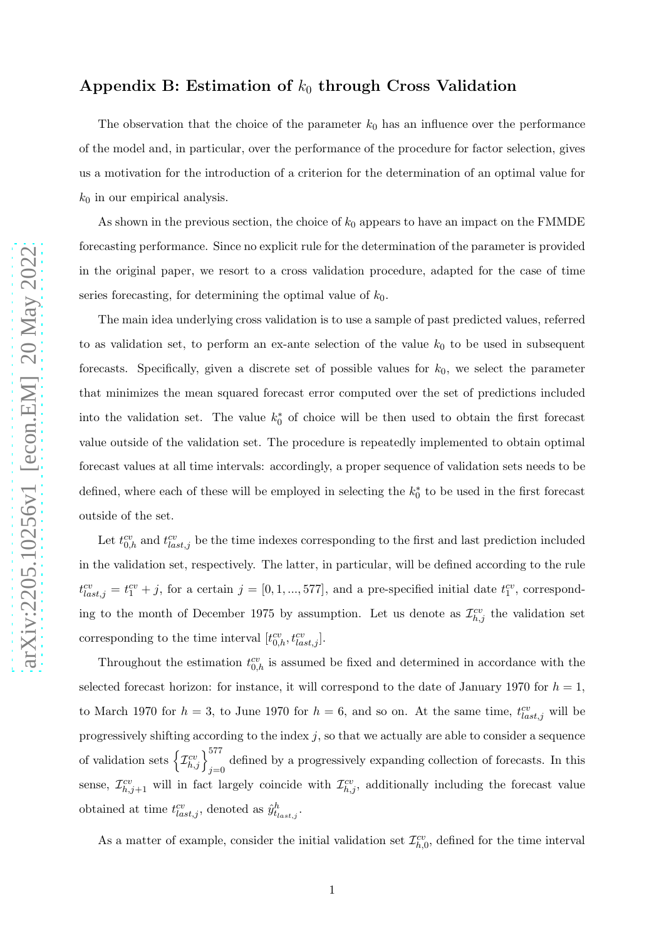### Appendix B: Estimation of  $k_0$  through Cross Validation

The observation that the choice of the parameter  $k_0$  has an influence over the performance of the model and, in particular, over the performance of the procedure for factor selection, gives us a motivation for the introduction of a criterion for the determination of an optimal value for  $k_0$  in our empirical analysis.

As shown in the previous section, the choice of  $k_0$  appears to have an impact on the FMMDE forecasting performance. Since no explicit rule for the determination of the parameter is provided in the original paper, we resort to a cross validation procedure, adapted for the case of time series forecasting, for determining the optimal value of  $k_0$ .

The main idea underlying cross validation is to use a sample of past predicted values, referred to as validation set, to perform an ex-ante selection of the value  $k_0$  to be used in subsequent forecasts. Specifically, given a discrete set of possible values for  $k_0$ , we select the parameter that minimizes the mean squared forecast error computed over the set of predictions included into the validation set. The value  $k_0^*$  $_{0}^{*}$  of choice will be then used to obtain the first forecast value outside of the validation set. The procedure is repeatedly implemented to obtain optimal forecast values at all time intervals: accordingly, a proper sequence of validation sets needs to be defined, where each of these will be employed in selecting the  $k_0^*$  $_{0}^{*}$  to be used in the first forecast outside of the set.

Let  $t_{0,h}^{cv}$  and  $t_{last,j}^{cv}$  be the time indexes corresponding to the first and last prediction included in the validation set, respectively. The latter, in particular, will be defined according to the rule  $t_{last,j}^{cv} = t_1^{cv} + j$ , for a certain  $j = [0, 1, ..., 577]$ , and a pre-specified initial date  $t_1^{cv}$ , corresponding to the month of December 1975 by assumption. Let us denote as  $\mathcal{I}_{h,j}^{cv}$  the validation set corresponding to the time interval  $[t_{0,h}^{cv}, t_{last,j}^{cv}]$ .

Throughout the estimation  $t_{0,h}^{cv}$  is assumed be fixed and determined in accordance with the selected forecast horizon: for instance, it will correspond to the date of January 1970 for  $h = 1$ , to March 1970 for  $h = 3$ , to June 1970 for  $h = 6$ , and so on. At the same time,  $t_{last,j}^{cv}$  will be progressively shifting according to the index  $j$ , so that we actually are able to consider a sequence of validation sets  $\left\{\mathcal{I}_{h,j}^{cv}\right\}_{j=0}^{577}$  defined by a progressively expanding collection of forecasts. In this sense,  $\mathcal{I}_{h,j+1}^{cv}$  will in fact largely coincide with  $\mathcal{I}_{h,j}^{cv}$ , additionally including the forecast value obtained at time  $t_{last,j}^{cv}$ , denoted as  $\hat{y}_{t_{last,j}}^h$ .

As a matter of example, consider the initial validation set  $\mathcal{I}_{h,0}^{cv}$ , defined for the time interval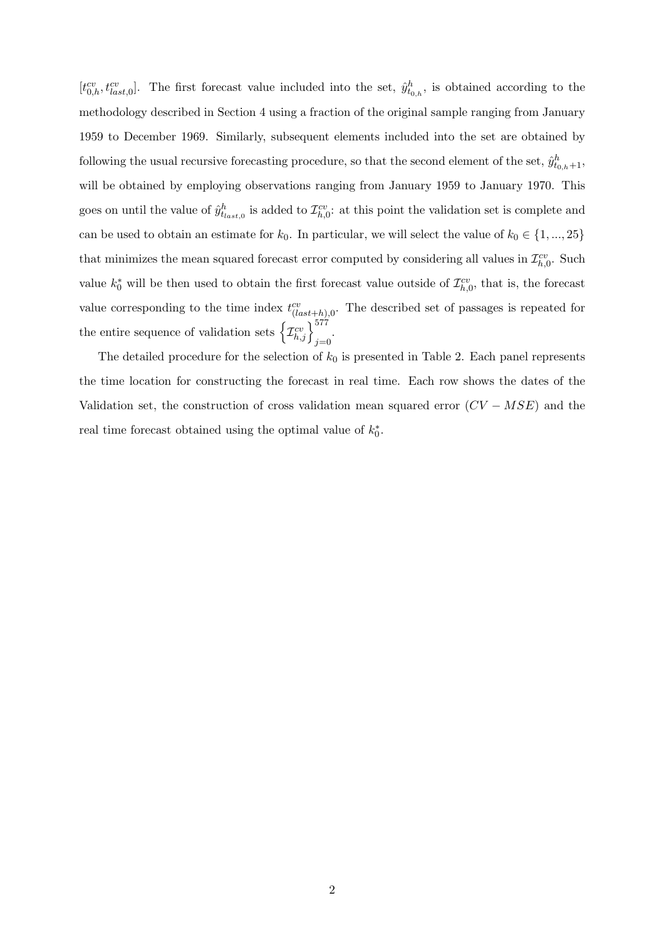$[t_{0,h}^{cv}, t_{last,0}^{cv}]$ . The first forecast value included into the set,  $\hat{y}_{t_{0,h}}^h$ , is obtained according to the methodology described in Section 4 using a fraction of the original sample ranging from January 1959 to December 1969. Similarly, subsequent elements included into the set are obtained by following the usual recursive forecasting procedure, so that the second element of the set,  $\hat{y}_{t_{0,h}+1}^h$ , will be obtained by employing observations ranging from January 1959 to January 1970. This goes on until the value of  $\hat{y}_{t_{last,0}}^h$  is added to  $\mathcal{I}_{h,0}^{cv}$ : at this point the validation set is complete and can be used to obtain an estimate for  $k_0$ . In particular, we will select the value of  $k_0 \in \{1, ..., 25\}$ that minimizes the mean squared forecast error computed by considering all values in  $\mathcal{I}_{h,0}^{cv}$ . Such value  $k_0^*$  will be then used to obtain the first forecast value outside of  $\mathcal{I}_{h,0}^{cv}$ , that is, the forecast value corresponding to the time index  $t_{(last+h),0}^{cv}$ . The described set of passages is repeated for the entire sequence of validation sets  $\left\{\mathcal{I}_{h,j}^{cv}\right\}_{j=0}^{577}$ .

The detailed procedure for the selection of  $k_0$  is presented in Table 2. Each panel represents the time location for constructing the forecast in real time. Each row shows the dates of the Validation set, the construction of cross validation mean squared error  $(CV - MSE)$  and the real time forecast obtained using the optimal value of  $k_0^*$  $\overset{*}{\scriptscriptstyle{0}}$ .